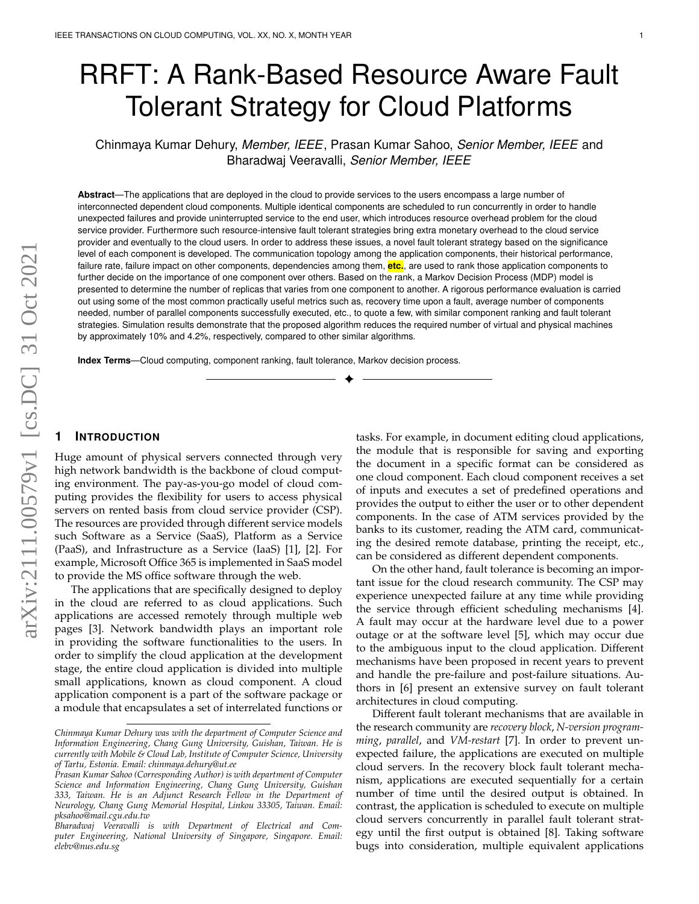# RRFT: A Rank-Based Resource Aware Fault Tolerant Strategy for Cloud Platforms

Chinmaya Kumar Dehury, *Member, IEEE*, Prasan Kumar Sahoo, *Senior Member, IEEE* and Bharadwaj Veeravalli, *Senior Member, IEEE*

**Abstract**—The applications that are deployed in the cloud to provide services to the users encompass a large number of interconnected dependent cloud components. Multiple identical components are scheduled to run concurrently in order to handle unexpected failures and provide uninterrupted service to the end user, which introduces resource overhead problem for the cloud service provider. Furthermore such resource-intensive fault tolerant strategies bring extra monetary overhead to the cloud service provider and eventually to the cloud users. In order to address these issues, a novel fault tolerant strategy based on the significance level of each component is developed. The communication topology among the application components, their historical performance, failure rate, failure impact on other components, dependencies among them, **etc.**, are used to rank those application components to further decide on the importance of one component over others. Based on the rank, a Markov Decision Process (MDP) model is presented to determine the number of replicas that varies from one component to another. A rigorous performance evaluation is carried out using some of the most common practically useful metrics such as, recovery time upon a fault, average number of components needed, number of parallel components successfully executed, etc., to quote a few, with similar component ranking and fault tolerant strategies. Simulation results demonstrate that the proposed algorithm reduces the required number of virtual and physical machines by approximately 10% and 4.2%, respectively, compared to other similar algorithms.

✦

**Index Terms**—Cloud computing, component ranking, fault tolerance, Markov decision process.

# **1 INTRODUCTION**

Huge amount of physical servers connected through very high network bandwidth is the backbone of cloud computing environment. The pay-as-you-go model of cloud computing provides the flexibility for users to access physical servers on rented basis from cloud service provider (CSP). The resources are provided through different service models such Software as a Service (SaaS), Platform as a Service (PaaS), and Infrastructure as a Service (IaaS) [1], [2]. For example, Microsoft Office 365 is implemented in SaaS model to provide the MS office software through the web.

The applications that are specifically designed to deploy in the cloud are referred to as cloud applications. Such applications are accessed remotely through multiple web pages [3]. Network bandwidth plays an important role in providing the software functionalities to the users. In order to simplify the cloud application at the development stage, the entire cloud application is divided into multiple small applications, known as cloud component. A cloud application component is a part of the software package or a module that encapsulates a set of interrelated functions or tasks. For example, in document editing cloud applications, the module that is responsible for saving and exporting the document in a specific format can be considered as one cloud component. Each cloud component receives a set of inputs and executes a set of predefined operations and provides the output to either the user or to other dependent components. In the case of ATM services provided by the banks to its customer, reading the ATM card, communicating the desired remote database, printing the receipt, etc., can be considered as different dependent components.

On the other hand, fault tolerance is becoming an important issue for the cloud research community. The CSP may experience unexpected failure at any time while providing the service through efficient scheduling mechanisms [4]. A fault may occur at the hardware level due to a power outage or at the software level [5], which may occur due to the ambiguous input to the cloud application. Different mechanisms have been proposed in recent years to prevent and handle the pre-failure and post-failure situations. Authors in [6] present an extensive survey on fault tolerant architectures in cloud computing.

Different fault tolerant mechanisms that are available in the research community are *recovery block*, *N-version programming*, *parallel*, and *VM-restart* [7]. In order to prevent unexpected failure, the applications are executed on multiple cloud servers. In the recovery block fault tolerant mechanism, applications are executed sequentially for a certain number of time until the desired output is obtained. In contrast, the application is scheduled to execute on multiple cloud servers concurrently in parallel fault tolerant strategy until the first output is obtained [8]. Taking software bugs into consideration, multiple equivalent applications

*Chinmaya Kumar Dehury was with the department of Computer Science and Information Engineering, Chang Gung University, Guishan, Taiwan. He is currently with Mobile & Cloud Lab, Institute of Computer Science, University of Tartu, Estonia. Email: chinmaya.dehury@ut.ee*

*Prasan Kumar Sahoo (Corresponding Author) is with department of Computer Science and Information Engineering, Chang Gung University, Guishan 333, Taiwan. He is an Adjunct Research Fellow in the Department of Neurology, Chang Gung Memorial Hospital, Linkou 33305, Taiwan. Email: pksahoo@mail.cgu.edu.tw*

*Bharadwaj Veeravalli is with Department of Electrical and Computer Engineering, National University of Singapore, Singapore. Email: elebv@nus.edu.sg*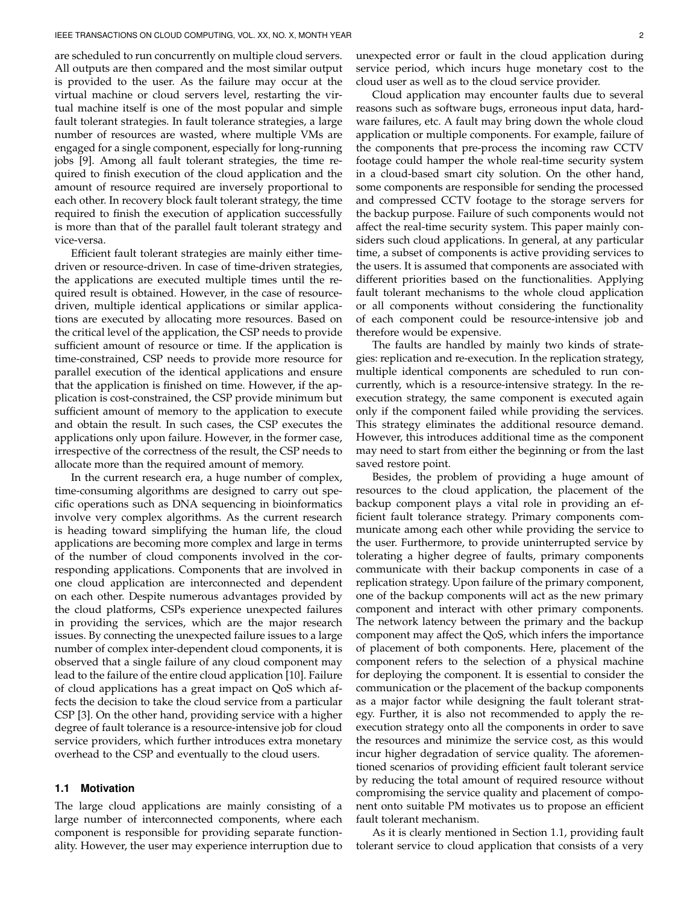are scheduled to run concurrently on multiple cloud servers. All outputs are then compared and the most similar output is provided to the user. As the failure may occur at the virtual machine or cloud servers level, restarting the virtual machine itself is one of the most popular and simple fault tolerant strategies. In fault tolerance strategies, a large number of resources are wasted, where multiple VMs are engaged for a single component, especially for long-running jobs [9]. Among all fault tolerant strategies, the time required to finish execution of the cloud application and the amount of resource required are inversely proportional to each other. In recovery block fault tolerant strategy, the time required to finish the execution of application successfully is more than that of the parallel fault tolerant strategy and vice-versa.

Efficient fault tolerant strategies are mainly either timedriven or resource-driven. In case of time-driven strategies, the applications are executed multiple times until the required result is obtained. However, in the case of resourcedriven, multiple identical applications or similar applications are executed by allocating more resources. Based on the critical level of the application, the CSP needs to provide sufficient amount of resource or time. If the application is time-constrained, CSP needs to provide more resource for parallel execution of the identical applications and ensure that the application is finished on time. However, if the application is cost-constrained, the CSP provide minimum but sufficient amount of memory to the application to execute and obtain the result. In such cases, the CSP executes the applications only upon failure. However, in the former case, irrespective of the correctness of the result, the CSP needs to allocate more than the required amount of memory.

In the current research era, a huge number of complex, time-consuming algorithms are designed to carry out specific operations such as DNA sequencing in bioinformatics involve very complex algorithms. As the current research is heading toward simplifying the human life, the cloud applications are becoming more complex and large in terms of the number of cloud components involved in the corresponding applications. Components that are involved in one cloud application are interconnected and dependent on each other. Despite numerous advantages provided by the cloud platforms, CSPs experience unexpected failures in providing the services, which are the major research issues. By connecting the unexpected failure issues to a large number of complex inter-dependent cloud components, it is observed that a single failure of any cloud component may lead to the failure of the entire cloud application [10]. Failure of cloud applications has a great impact on QoS which affects the decision to take the cloud service from a particular CSP [3]. On the other hand, providing service with a higher degree of fault tolerance is a resource-intensive job for cloud service providers, which further introduces extra monetary overhead to the CSP and eventually to the cloud users.

## **1.1 Motivation**

The large cloud applications are mainly consisting of a large number of interconnected components, where each component is responsible for providing separate functionality. However, the user may experience interruption due to unexpected error or fault in the cloud application during service period, which incurs huge monetary cost to the cloud user as well as to the cloud service provider.

Cloud application may encounter faults due to several reasons such as software bugs, erroneous input data, hardware failures, etc. A fault may bring down the whole cloud application or multiple components. For example, failure of the components that pre-process the incoming raw CCTV footage could hamper the whole real-time security system in a cloud-based smart city solution. On the other hand, some components are responsible for sending the processed and compressed CCTV footage to the storage servers for the backup purpose. Failure of such components would not affect the real-time security system. This paper mainly considers such cloud applications. In general, at any particular time, a subset of components is active providing services to the users. It is assumed that components are associated with different priorities based on the functionalities. Applying fault tolerant mechanisms to the whole cloud application or all components without considering the functionality of each component could be resource-intensive job and therefore would be expensive.

The faults are handled by mainly two kinds of strategies: replication and re-execution. In the replication strategy, multiple identical components are scheduled to run concurrently, which is a resource-intensive strategy. In the reexecution strategy, the same component is executed again only if the component failed while providing the services. This strategy eliminates the additional resource demand. However, this introduces additional time as the component may need to start from either the beginning or from the last saved restore point.

Besides, the problem of providing a huge amount of resources to the cloud application, the placement of the backup component plays a vital role in providing an efficient fault tolerance strategy. Primary components communicate among each other while providing the service to the user. Furthermore, to provide uninterrupted service by tolerating a higher degree of faults, primary components communicate with their backup components in case of a replication strategy. Upon failure of the primary component, one of the backup components will act as the new primary component and interact with other primary components. The network latency between the primary and the backup component may affect the QoS, which infers the importance of placement of both components. Here, placement of the component refers to the selection of a physical machine for deploying the component. It is essential to consider the communication or the placement of the backup components as a major factor while designing the fault tolerant strategy. Further, it is also not recommended to apply the reexecution strategy onto all the components in order to save the resources and minimize the service cost, as this would incur higher degradation of service quality. The aforementioned scenarios of providing efficient fault tolerant service by reducing the total amount of required resource without compromising the service quality and placement of component onto suitable PM motivates us to propose an efficient fault tolerant mechanism.

As it is clearly mentioned in Section 1.1, providing fault tolerant service to cloud application that consists of a very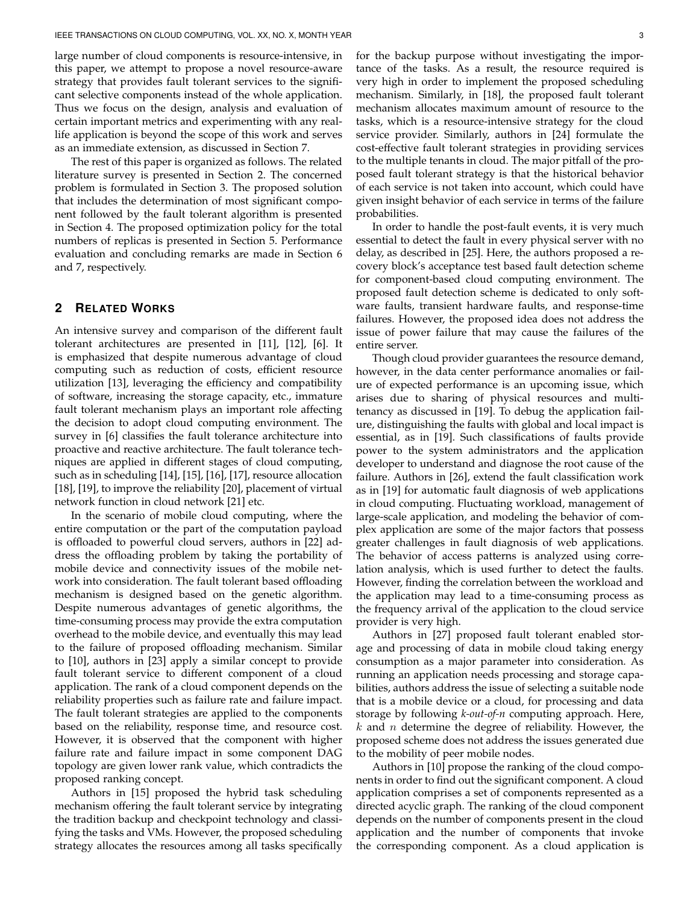large number of cloud components is resource-intensive, in this paper, we attempt to propose a novel resource-aware strategy that provides fault tolerant services to the significant selective components instead of the whole application. Thus we focus on the design, analysis and evaluation of certain important metrics and experimenting with any reallife application is beyond the scope of this work and serves as an immediate extension, as discussed in Section 7.

The rest of this paper is organized as follows. The related literature survey is presented in Section 2. The concerned problem is formulated in Section 3. The proposed solution that includes the determination of most significant component followed by the fault tolerant algorithm is presented in Section 4. The proposed optimization policy for the total numbers of replicas is presented in Section 5. Performance evaluation and concluding remarks are made in Section 6 and 7, respectively.

# **2 RELATED WORKS**

An intensive survey and comparison of the different fault tolerant architectures are presented in [11], [12], [6]. It is emphasized that despite numerous advantage of cloud computing such as reduction of costs, efficient resource utilization [13], leveraging the efficiency and compatibility of software, increasing the storage capacity, etc., immature fault tolerant mechanism plays an important role affecting the decision to adopt cloud computing environment. The survey in [6] classifies the fault tolerance architecture into proactive and reactive architecture. The fault tolerance techniques are applied in different stages of cloud computing, such as in scheduling [14], [15], [16], [17], resource allocation [18], [19], to improve the reliability [20], placement of virtual network function in cloud network [21] etc.

In the scenario of mobile cloud computing, where the entire computation or the part of the computation payload is offloaded to powerful cloud servers, authors in [22] address the offloading problem by taking the portability of mobile device and connectivity issues of the mobile network into consideration. The fault tolerant based offloading mechanism is designed based on the genetic algorithm. Despite numerous advantages of genetic algorithms, the time-consuming process may provide the extra computation overhead to the mobile device, and eventually this may lead to the failure of proposed offloading mechanism. Similar to [10], authors in [23] apply a similar concept to provide fault tolerant service to different component of a cloud application. The rank of a cloud component depends on the reliability properties such as failure rate and failure impact. The fault tolerant strategies are applied to the components based on the reliability, response time, and resource cost. However, it is observed that the component with higher failure rate and failure impact in some component DAG topology are given lower rank value, which contradicts the proposed ranking concept.

Authors in [15] proposed the hybrid task scheduling mechanism offering the fault tolerant service by integrating the tradition backup and checkpoint technology and classifying the tasks and VMs. However, the proposed scheduling strategy allocates the resources among all tasks specifically for the backup purpose without investigating the importance of the tasks. As a result, the resource required is very high in order to implement the proposed scheduling mechanism. Similarly, in [18], the proposed fault tolerant mechanism allocates maximum amount of resource to the tasks, which is a resource-intensive strategy for the cloud service provider. Similarly, authors in [24] formulate the cost-effective fault tolerant strategies in providing services to the multiple tenants in cloud. The major pitfall of the proposed fault tolerant strategy is that the historical behavior of each service is not taken into account, which could have given insight behavior of each service in terms of the failure probabilities.

In order to handle the post-fault events, it is very much essential to detect the fault in every physical server with no delay, as described in [25]. Here, the authors proposed a recovery block's acceptance test based fault detection scheme for component-based cloud computing environment. The proposed fault detection scheme is dedicated to only software faults, transient hardware faults, and response-time failures. However, the proposed idea does not address the issue of power failure that may cause the failures of the entire server.

Though cloud provider guarantees the resource demand, however, in the data center performance anomalies or failure of expected performance is an upcoming issue, which arises due to sharing of physical resources and multitenancy as discussed in [19]. To debug the application failure, distinguishing the faults with global and local impact is essential, as in [19]. Such classifications of faults provide power to the system administrators and the application developer to understand and diagnose the root cause of the failure. Authors in [26], extend the fault classification work as in [19] for automatic fault diagnosis of web applications in cloud computing. Fluctuating workload, management of large-scale application, and modeling the behavior of complex application are some of the major factors that possess greater challenges in fault diagnosis of web applications. The behavior of access patterns is analyzed using correlation analysis, which is used further to detect the faults. However, finding the correlation between the workload and the application may lead to a time-consuming process as the frequency arrival of the application to the cloud service provider is very high.

Authors in [27] proposed fault tolerant enabled storage and processing of data in mobile cloud taking energy consumption as a major parameter into consideration. As running an application needs processing and storage capabilities, authors address the issue of selecting a suitable node that is a mobile device or a cloud, for processing and data storage by following *k-out-of-n* computing approach. Here,  $k$  and  $n$  determine the degree of reliability. However, the proposed scheme does not address the issues generated due to the mobility of peer mobile nodes.

Authors in [10] propose the ranking of the cloud components in order to find out the significant component. A cloud application comprises a set of components represented as a directed acyclic graph. The ranking of the cloud component depends on the number of components present in the cloud application and the number of components that invoke the corresponding component. As a cloud application is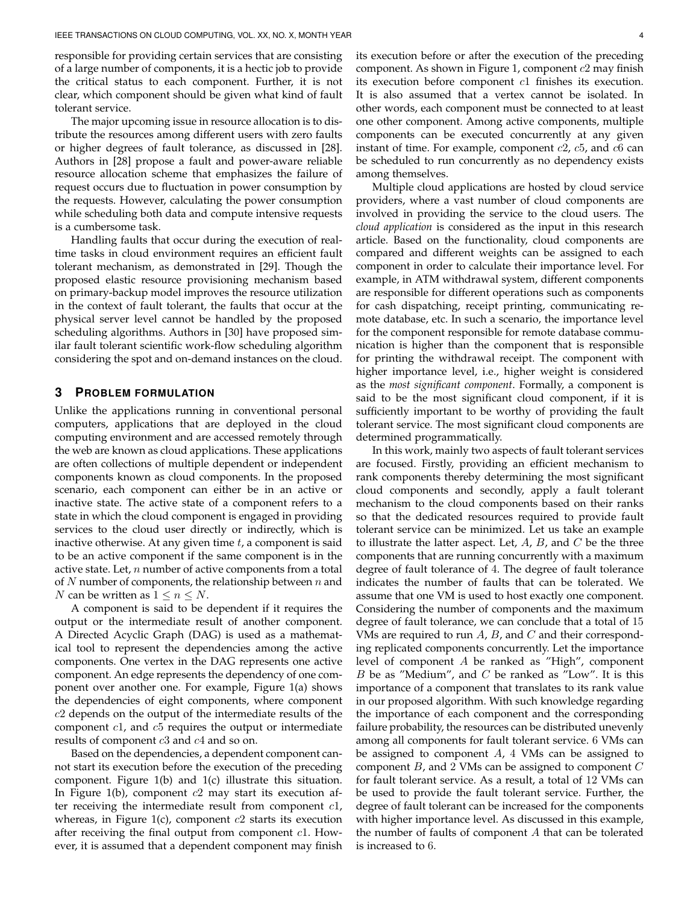responsible for providing certain services that are consisting of a large number of components, it is a hectic job to provide the critical status to each component. Further, it is not clear, which component should be given what kind of fault tolerant service.

The major upcoming issue in resource allocation is to distribute the resources among different users with zero faults or higher degrees of fault tolerance, as discussed in [28]. Authors in [28] propose a fault and power-aware reliable resource allocation scheme that emphasizes the failure of request occurs due to fluctuation in power consumption by the requests. However, calculating the power consumption while scheduling both data and compute intensive requests is a cumbersome task.

Handling faults that occur during the execution of realtime tasks in cloud environment requires an efficient fault tolerant mechanism, as demonstrated in [29]. Though the proposed elastic resource provisioning mechanism based on primary-backup model improves the resource utilization in the context of fault tolerant, the faults that occur at the physical server level cannot be handled by the proposed scheduling algorithms. Authors in [30] have proposed similar fault tolerant scientific work-flow scheduling algorithm considering the spot and on-demand instances on the cloud.

# **3 PROBLEM FORMULATION**

Unlike the applications running in conventional personal computers, applications that are deployed in the cloud computing environment and are accessed remotely through the web are known as cloud applications. These applications are often collections of multiple dependent or independent components known as cloud components. In the proposed scenario, each component can either be in an active or inactive state. The active state of a component refers to a state in which the cloud component is engaged in providing services to the cloud user directly or indirectly, which is inactive otherwise. At any given time  $t$ , a component is said to be an active component if the same component is in the active state. Let,  $n$  number of active components from a total of  $N$  number of components, the relationship between  $n$  and *N* can be written as  $1 \le n \le N$ .

A component is said to be dependent if it requires the output or the intermediate result of another component. A Directed Acyclic Graph (DAG) is used as a mathematical tool to represent the dependencies among the active components. One vertex in the DAG represents one active component. An edge represents the dependency of one component over another one. For example, Figure 1(a) shows the dependencies of eight components, where component  $c2$  depends on the output of the intermediate results of the component  $c1$ , and  $c5$  requires the output or intermediate results of component  $c3$  and  $c4$  and so on.

Based on the dependencies, a dependent component cannot start its execution before the execution of the preceding component. Figure 1(b) and 1(c) illustrate this situation. In Figure 1(b), component  $c2$  may start its execution after receiving the intermediate result from component  $c1$ , whereas, in Figure 1(c), component  $c2$  starts its execution after receiving the final output from component  $c1$ . However, it is assumed that a dependent component may finish its execution before or after the execution of the preceding component. As shown in Figure 1, component  $c2$  may finish its execution before component c1 finishes its execution. It is also assumed that a vertex cannot be isolated. In other words, each component must be connected to at least one other component. Among active components, multiple components can be executed concurrently at any given instant of time. For example, component  $c2$ ,  $c5$ , and  $c6$  can be scheduled to run concurrently as no dependency exists among themselves.

Multiple cloud applications are hosted by cloud service providers, where a vast number of cloud components are involved in providing the service to the cloud users. The *cloud application* is considered as the input in this research article. Based on the functionality, cloud components are compared and different weights can be assigned to each component in order to calculate their importance level. For example, in ATM withdrawal system, different components are responsible for different operations such as components for cash dispatching, receipt printing, communicating remote database, etc. In such a scenario, the importance level for the component responsible for remote database communication is higher than the component that is responsible for printing the withdrawal receipt. The component with higher importance level, i.e., higher weight is considered as the *most significant component*. Formally, a component is said to be the most significant cloud component, if it is sufficiently important to be worthy of providing the fault tolerant service. The most significant cloud components are determined programmatically.

In this work, mainly two aspects of fault tolerant services are focused. Firstly, providing an efficient mechanism to rank components thereby determining the most significant cloud components and secondly, apply a fault tolerant mechanism to the cloud components based on their ranks so that the dedicated resources required to provide fault tolerant service can be minimized. Let us take an example to illustrate the latter aspect. Let,  $A$ ,  $B$ , and  $C$  be the three components that are running concurrently with a maximum degree of fault tolerance of 4. The degree of fault tolerance indicates the number of faults that can be tolerated. We assume that one VM is used to host exactly one component. Considering the number of components and the maximum degree of fault tolerance, we can conclude that a total of 15 VMs are required to run  $A$ ,  $B$ , and  $C$  and their corresponding replicated components concurrently. Let the importance level of component A be ranked as "High", component  $B$  be as "Medium", and  $C$  be ranked as "Low". It is this importance of a component that translates to its rank value in our proposed algorithm. With such knowledge regarding the importance of each component and the corresponding failure probability, the resources can be distributed unevenly among all components for fault tolerant service. 6 VMs can be assigned to component  $A$ , 4 VMs can be assigned to component  $B$ , and 2 VMs can be assigned to component  $C$ for fault tolerant service. As a result, a total of 12 VMs can be used to provide the fault tolerant service. Further, the degree of fault tolerant can be increased for the components with higher importance level. As discussed in this example, the number of faults of component A that can be tolerated is increased to 6.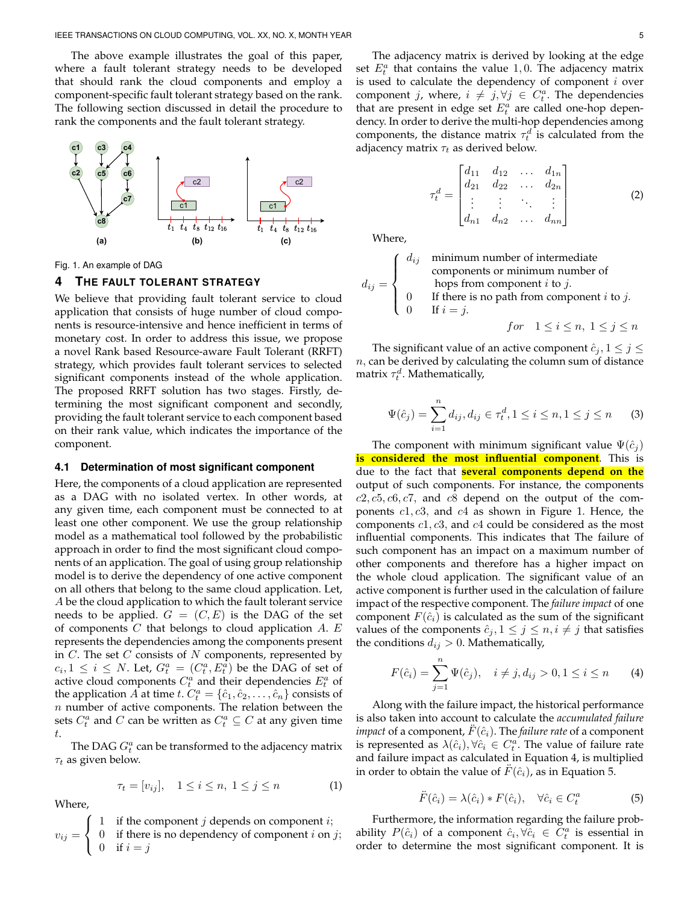The above example illustrates the goal of this paper, where a fault tolerant strategy needs to be developed that should rank the cloud components and employ a component-specific fault tolerant strategy based on the rank. The following section discussed in detail the procedure to rank the components and the fault tolerant strategy.



Fig. 1. An example of DAG

## **4 THE FAULT TOLERANT STRATEGY**

We believe that providing fault tolerant service to cloud application that consists of huge number of cloud components is resource-intensive and hence inefficient in terms of monetary cost. In order to address this issue, we propose a novel Rank based Resource-aware Fault Tolerant (RRFT) strategy, which provides fault tolerant services to selected significant components instead of the whole application. The proposed RRFT solution has two stages. Firstly, determining the most significant component and secondly, providing the fault tolerant service to each component based on their rank value, which indicates the importance of the component.

#### **4.1 Determination of most significant component**

Here, the components of a cloud application are represented as a DAG with no isolated vertex. In other words, at any given time, each component must be connected to at least one other component. We use the group relationship model as a mathematical tool followed by the probabilistic approach in order to find the most significant cloud components of an application. The goal of using group relationship model is to derive the dependency of one active component on all others that belong to the same cloud application. Let, A be the cloud application to which the fault tolerant service needs to be applied.  $G = (C, E)$  is the DAG of the set of components  $C$  that belongs to cloud application  $A$ .  $E$ represents the dependencies among the components present in  $C$ . The set  $C$  consists of  $N$  components, represented by  $c_i, 1 \leq i \leq N$ . Let,  $G_t^a = (C_t^a, E_t^a)$  be the DAG of set of active cloud components  $C_t^a$  and their dependencies  $E_t^a$  of the application  $\overline{A}$  at time  $t$ .  $C_t^a = \{\hat{c}_1, \hat{c}_2, \ldots, \hat{c}_n\}$  consists of  $n$  number of active components. The relation between the sets  $C_t^a$  and  $C$  can be written as  $C_t^a \subseteq C$  at any given time t.

The DAG  $G_t^a$  can be transformed to the adjacency matrix  $\tau_t$  as given below.

$$
\tau_t = [v_{ij}], \quad 1 \le i \le n, \ 1 \le j \le n \tag{1}
$$

Where,

$$
v_{ij} = \begin{cases} 1 & \text{if the component } j \text{ depends on component } i; \\ 0 & \text{if there is no dependency of component } i \text{ on } j; \\ 0 & \text{if } i = j \end{cases}
$$

The adjacency matrix is derived by looking at the edge set  $E_t^a$  that contains the value 1,0. The adjacency matrix is used to calculate the dependency of component  $i$  over component j, where,  $i \neq j, \forall j \in C_t^a$ . The dependencies that are present in edge set  $E_t^a$  are called one-hop dependency. In order to derive the multi-hop dependencies among components, the distance matrix  $\tau_t^d$  is calculated from the adjacency matrix  $\tau_t$  as derived below.

$$
\tau_t^d = \begin{bmatrix} d_{11} & d_{12} & \dots & d_{1n} \\ d_{21} & d_{22} & \dots & d_{2n} \\ \vdots & \vdots & \ddots & \vdots \\ d_{n1} & d_{n2} & \dots & d_{nn} \end{bmatrix}
$$
 (2)

Where,

$$
d_{ij} = \begin{cases} d_{ij} & \text{minimum number of intermediate} \\ & \text{components or minimum number of} \\ & \text{hops from component } i \text{ to } j. \\ 0 & \text{If there is no path from component } i \text{ to } j. \\ 0 & \text{If } i = j. \end{cases}
$$
\n
$$
for \quad 1 \le i \le n, \ 1 \le j \le n
$$

The significant value of an active component  $\hat{c}_i, 1 \leq j \leq$  $n$ , can be derived by calculating the column sum of distance matrix  $\tau_t^d$ . Mathematically,

$$
\Psi(\hat{c}_j) = \sum_{i=1}^n d_{ij}, d_{ij} \in \tau_t^d, 1 \le i \le n, 1 \le j \le n
$$
 (3)

The component with minimum significant value  $\Psi(\hat{c}_i)$ **is considered the most influential component**. This is due to the fact that **several components depend on the** output of such components. For instance, the components  $c2, c5, c6, c7$ , and  $c8$  depend on the output of the components  $c1, c3$ , and  $c4$  as shown in Figure 1. Hence, the components  $c1, c3$ , and  $c4$  could be considered as the most influential components. This indicates that The failure of such component has an impact on a maximum number of other components and therefore has a higher impact on the whole cloud application. The significant value of an active component is further used in the calculation of failure impact of the respective component. The *failure impact* of one component  $F(\hat{c}_i)$  is calculated as the sum of the significant values of the components  $\hat{c}_j, 1 \leq j \leq n, i \neq j$  that satisfies the conditions  $d_{ij} > 0$ . Mathematically,

$$
F(\hat{c}_i) = \sum_{j=1}^n \Psi(\hat{c}_j), \quad i \neq j, d_{ij} > 0, 1 \leq i \leq n \tag{4}
$$

Along with the failure impact, the historical performance is also taken into account to calculate the *accumulated failure impact* of a component,  $F(\hat{c}_i)$ . The *failure rate* of a component is represented as  $\lambda(\hat{c}_i), \forall \hat{c}_i \in C_i^a$ . The value of failure rate and failure impact as calculated in Equation 4, is multiplied in order to obtain the value of  $\hat{F}(\hat{c}_i)$ , as in Equation 5.

$$
\ddot{F}(\hat{c}_i) = \lambda(\hat{c}_i) * F(\hat{c}_i), \quad \forall \hat{c}_i \in C_t^a \tag{5}
$$

Furthermore, the information regarding the failure probability  $P(\hat{c}_i)$  of a component  $\hat{c}_i, \forall \hat{c}_i \in C_t^a$  is essential in order to determine the most significant component. It is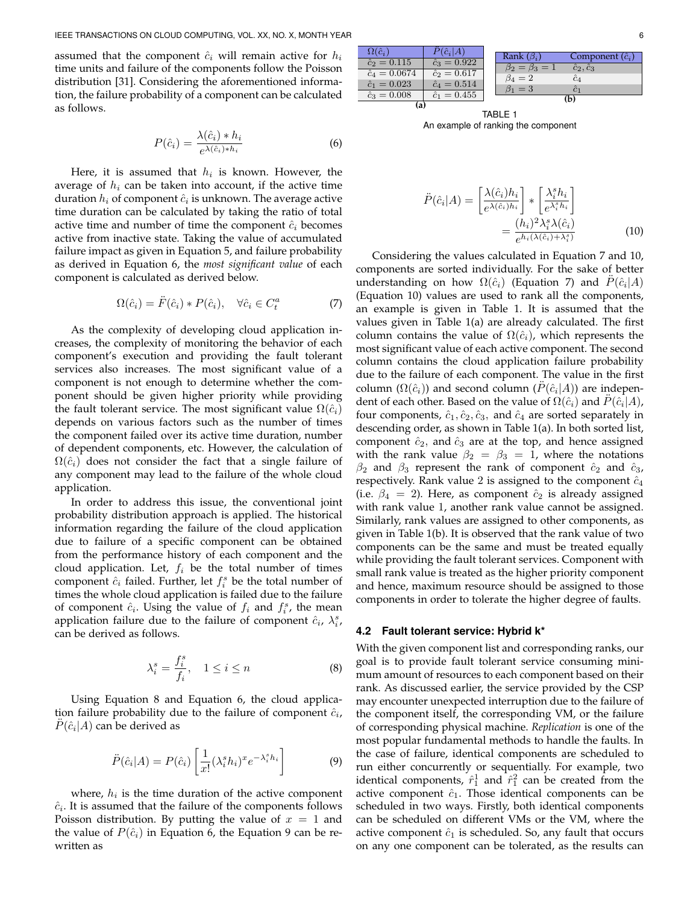assumed that the component  $\hat{c}_i$  will remain active for  $h_i$ time units and failure of the components follow the Poisson distribution [31]. Considering the aforementioned information, the failure probability of a component can be calculated as follows.

$$
P(\hat{c}_i) = \frac{\lambda(\hat{c}_i) * h_i}{e^{\lambda(\hat{c}_i) * h_i}} \tag{6}
$$

 $\Box$ 

Here, it is assumed that  $h_i$  is known. However, the average of  $h_i$  can be taken into account, if the active time duration  $h_i$  of component  $\hat{c}_i$  is unknown. The average active time duration can be calculated by taking the ratio of total active time and number of time the component  $\hat{c}_i$  becomes active from inactive state. Taking the value of accumulated failure impact as given in Equation 5, and failure probability as derived in Equation 6, the *most significant value* of each component is calculated as derived below.

$$
\Omega(\hat{c}_i) = \ddot{F}(\hat{c}_i) * P(\hat{c}_i), \quad \forall \hat{c}_i \in C_t^a \tag{7}
$$

As the complexity of developing cloud application increases, the complexity of monitoring the behavior of each component's execution and providing the fault tolerant services also increases. The most significant value of a component is not enough to determine whether the component should be given higher priority while providing the fault tolerant service. The most significant value  $\Omega(\hat{c}_i)$ depends on various factors such as the number of times the component failed over its active time duration, number of dependent components, etc. However, the calculation of  $\Omega(\hat{c}_i)$  does not consider the fact that a single failure of any component may lead to the failure of the whole cloud application.

In order to address this issue, the conventional joint probability distribution approach is applied. The historical information regarding the failure of the cloud application due to failure of a specific component can be obtained from the performance history of each component and the cloud application. Let,  $f_i$  be the total number of times component  $\hat{c}_i$  failed. Further, let  $f_i^s$  be the total number of times the whole cloud application is failed due to the failure of component  $\hat{c}_i$ . Using the value of  $f_i$  and  $f_i^s$ , the mean application failure due to the failure of component  $\hat{c}_i$ ,  $\lambda_i^s$ , can be derived as follows.

$$
\lambda_i^s = \frac{f_i^s}{f_i}, \quad 1 \le i \le n \tag{8}
$$

Using Equation 8 and Equation 6, the cloud application failure probability due to the failure of component  $\hat{c}_i$ ,  $\ddot{P}(\hat{c}_i|A)$  can be derived as

$$
\ddot{P}(\hat{c}_i|A) = P(\hat{c}_i) \left[ \frac{1}{x!} (\lambda_i^s h_i)^x e^{-\lambda_i^s h_i} \right]
$$
(9)

where,  $h_i$  is the time duration of the active component  $\hat{c}_i$ . It is assumed that the failure of the components follows Poisson distribution. By putting the value of  $x = 1$  and the value of  $P(\hat{c}_i)$  in Equation 6, the Equation 9 can be rewritten as

| $\Omega(\hat{c}_i)$  | $\tilde{P}(\hat{c}_i A)$ |                         |                         |
|----------------------|--------------------------|-------------------------|-------------------------|
|                      |                          | Rank $(\beta_i)$        | Component $(\hat{c}_i)$ |
| $\hat{c}_2 = 0.115$  | $\hat{c}_3 = 0.922$      | $\beta_2 = \beta_3 = 1$ | $\hat{c}_2, \hat{c}_3$  |
| $\hat{c}_4 = 0.0674$ | $\hat{c}_2 = 0.617$      | $\beta_4=2$             |                         |
| $\hat{c}_1 = 0.023$  | $\hat{c}_4 = 0.514$      |                         | $c_4$                   |
| $\hat{c}_3 = 0.008$  | $\hat{c}_1 = 0.455$      | $\beta_1=3$             |                         |
| (a)                  |                          | (b)                     |                         |

TABLE 1 An example of ranking the component

$$
\ddot{P}(\hat{c}_i|A) = \left[\frac{\lambda(\hat{c}_i)h_i}{e^{\lambda(\hat{c}_i)h_i}}\right] * \left[\frac{\lambda_i^s h_i}{e^{\lambda_i^s h_i}}\right] \\
= \frac{(h_i)^2 \lambda_i^s \lambda(\hat{c}_i)}{e^{h_i(\lambda(\hat{c}_i)+\lambda_i^s)}}\n\tag{10}
$$

Considering the values calculated in Equation 7 and 10, components are sorted individually. For the sake of better understanding on how  $\Omega(\hat{c}_i)$  (Equation 7) and  $\ddot{P}(\hat{c}_i|A)$ (Equation 10) values are used to rank all the components, an example is given in Table 1. It is assumed that the values given in Table 1(a) are already calculated. The first column contains the value of  $\Omega(\hat{c}_i)$ , which represents the most significant value of each active component. The second column contains the cloud application failure probability due to the failure of each component. The value in the first column  $(\Omega(\hat{c}_i))$  and second column  $(\ddot{P}(\hat{c}_i|A))$  are independent of each other. Based on the value of  $\Omega(\hat{c}_i)$  and  $\ddot{P}(\hat{c}_i|A)$ , four components,  $\hat{c}_1, \hat{c}_2, \hat{c}_3$ , and  $\hat{c}_4$  are sorted separately in descending order, as shown in Table 1(a). In both sorted list, component  $\hat{c}_2$ , and  $\hat{c}_3$  are at the top, and hence assigned with the rank value  $\beta_2 = \beta_3 = 1$ , where the notations  $\beta_2$  and  $\beta_3$  represent the rank of component  $\hat{c}_2$  and  $\hat{c}_3$ , respectively. Rank value 2 is assigned to the component  $\hat{c}_4$ (i.e.  $\beta_4 = 2$ ). Here, as component  $\hat{c}_2$  is already assigned with rank value 1, another rank value cannot be assigned. Similarly, rank values are assigned to other components, as given in Table 1(b). It is observed that the rank value of two components can be the same and must be treated equally while providing the fault tolerant services. Component with small rank value is treated as the higher priority component and hence, maximum resource should be assigned to those components in order to tolerate the higher degree of faults.

#### **4.2 Fault tolerant service: Hybrid k\***

With the given component list and corresponding ranks, our goal is to provide fault tolerant service consuming minimum amount of resources to each component based on their rank. As discussed earlier, the service provided by the CSP may encounter unexpected interruption due to the failure of the component itself, the corresponding VM, or the failure of corresponding physical machine. *Replication* is one of the most popular fundamental methods to handle the faults. In the case of failure, identical components are scheduled to run either concurrently or sequentially. For example, two identical components,  $\hat{r}_1^1$  and  $\hat{r}_1^2$  can be created from the active component  $\hat{c}_1$ . Those identical components can be scheduled in two ways. Firstly, both identical components can be scheduled on different VMs or the VM, where the active component  $\hat{c}_1$  is scheduled. So, any fault that occurs on any one component can be tolerated, as the results can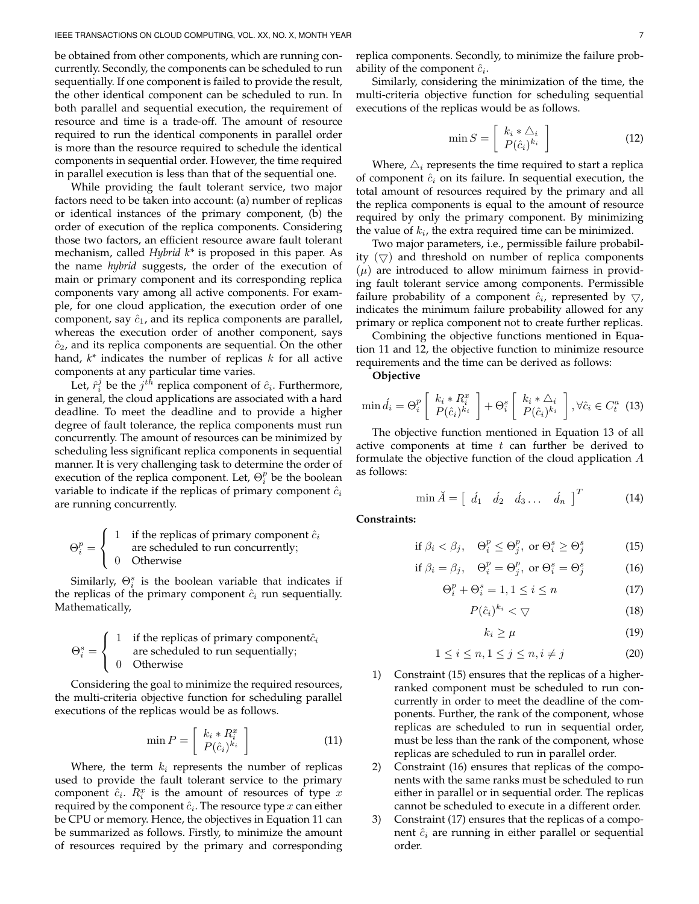be obtained from other components, which are running concurrently. Secondly, the components can be scheduled to run sequentially. If one component is failed to provide the result, the other identical component can be scheduled to run. In both parallel and sequential execution, the requirement of resource and time is a trade-off. The amount of resource required to run the identical components in parallel order is more than the resource required to schedule the identical components in sequential order. However, the time required in parallel execution is less than that of the sequential one.

While providing the fault tolerant service, two major factors need to be taken into account: (a) number of replicas or identical instances of the primary component, (b) the order of execution of the replica components. Considering those two factors, an efficient resource aware fault tolerant mechanism, called *Hybrid k\** is proposed in this paper. As the name *hybrid* suggests, the order of the execution of main or primary component and its corresponding replica components vary among all active components. For example, for one cloud application, the execution order of one component, say  $\hat{c}_1$ , and its replica components are parallel, whereas the execution order of another component, says  $\hat{c}_2$ , and its replica components are sequential. On the other hand, *k\** indicates the number of replicas k for all active components at any particular time varies.

Let,  $\hat{r}_i^j$  be the  $j^{th}$  replica component of  $\hat{c}_i$ . Furthermore, in general, the cloud applications are associated with a hard deadline. To meet the deadline and to provide a higher degree of fault tolerance, the replica components must run concurrently. The amount of resources can be minimized by scheduling less significant replica components in sequential manner. It is very challenging task to determine the order of execution of the replica component. Let,  $\Theta_i^p$  be the boolean variable to indicate if the replicas of primary component  $\hat{c}_i$ are running concurrently.

$$
\Theta_i^p = \left\{ \begin{array}{ll} 1 & \text{if the replicas of primary component } \hat{c}_i \\ \text{are scheduled to run concurrently;} \\ 0 & \text{Otherwise} \end{array} \right.
$$

Similarly,  $\Theta_i^s$  is the boolean variable that indicates if the replicas of the primary component  $\hat{c}_i$  run sequentially. Mathematically,

$$
\Theta_i^s = \left\{ \begin{array}{cl} 1 & \text{if the replicas of primary component} \\ & \text{are scheduled to run sequentially;} \\ 0 & \text{Otherwise} \end{array} \right.
$$

Considering the goal to minimize the required resources, the multi-criteria objective function for scheduling parallel executions of the replicas would be as follows.

$$
\min P = \left[ \begin{array}{c} k_i * R_i^x \\ P(\hat{c}_i)^{k_i} \end{array} \right] \tag{11}
$$

Where, the term  $k_i$  represents the number of replicas used to provide the fault tolerant service to the primary component  $\hat{c}_i$ .  $R_i^x$  is the amount of resources of type x required by the component  $\hat{c}_i$ . The resource type  $x$  can either be CPU or memory. Hence, the objectives in Equation 11 can be summarized as follows. Firstly, to minimize the amount of resources required by the primary and corresponding

replica components. Secondly, to minimize the failure probability of the component  $\hat{c}_i$ .

Similarly, considering the minimization of the time, the multi-criteria objective function for scheduling sequential executions of the replicas would be as follows.

$$
\min S = \left[ \begin{array}{c} k_i * \triangle_i \\ P(\hat{c}_i)^{k_i} \end{array} \right] \tag{12}
$$

Where,  $\Delta_i$  represents the time required to start a replica of component  $\hat{c}_i$  on its failure. In sequential execution, the total amount of resources required by the primary and all the replica components is equal to the amount of resource required by only the primary component. By minimizing the value of  $k_i$ , the extra required time can be minimized.

Two major parameters, i.e., permissible failure probability  $(\nabla)$  and threshold on number of replica components  $(\mu)$  are introduced to allow minimum fairness in providing fault tolerant service among components. Permissible failure probability of a component  $\hat{c}_i$ , represented by  $\bigtriangledown$ , indicates the minimum failure probability allowed for any primary or replica component not to create further replicas.

Combining the objective functions mentioned in Equation 11 and 12, the objective function to minimize resource requirements and the time can be derived as follows:

**Objective**

$$
\min \hat{d}_i = \Theta_i^p \left[ \begin{array}{c} k_i * R_i^x \\ P(\hat{c}_i)^{k_i} \end{array} \right] + \Theta_i^s \left[ \begin{array}{c} k_i * \triangle_i \\ P(\hat{c}_i)^{k_i} \end{array} \right], \forall \hat{c}_i \in C_t^a \tag{13}
$$

The objective function mentioned in Equation 13 of all active components at time  $t$  can further be derived to formulate the objective function of the cloud application  $A$ as follows:

$$
\min \breve{A} = \left[ \begin{array}{cccc} \breve{d}_1 & \breve{d}_2 & \breve{d}_3 \dots & \breve{d}_n \end{array} \right]^T \tag{14}
$$

**Constraints:**

$$
\text{if } \beta_i < \beta_j, \quad \Theta_i^p \le \Theta_j^p, \text{ or } \Theta_i^s \ge \Theta_j^s \tag{15}
$$

$$
\text{if } \beta_i = \beta_j, \quad \Theta_i^p = \Theta_j^p, \text{ or } \Theta_i^s = \Theta_j^s \tag{16}
$$

$$
\Theta_i^p + \Theta_i^s = 1, 1 \le i \le n \tag{17}
$$

$$
P(\hat{c}_i)^{k_i} < \nabla \tag{18}
$$

$$
k_i \ge \mu \tag{19}
$$

$$
1 \le i \le n, 1 \le j \le n, i \ne j \tag{20}
$$

- 1) Constraint (15) ensures that the replicas of a higherranked component must be scheduled to run concurrently in order to meet the deadline of the components. Further, the rank of the component, whose replicas are scheduled to run in sequential order, must be less than the rank of the component, whose replicas are scheduled to run in parallel order.
- 2) Constraint (16) ensures that replicas of the components with the same ranks must be scheduled to run either in parallel or in sequential order. The replicas cannot be scheduled to execute in a different order.
- 3) Constraint (17) ensures that the replicas of a component  $\hat{c}_i$  are running in either parallel or sequential order.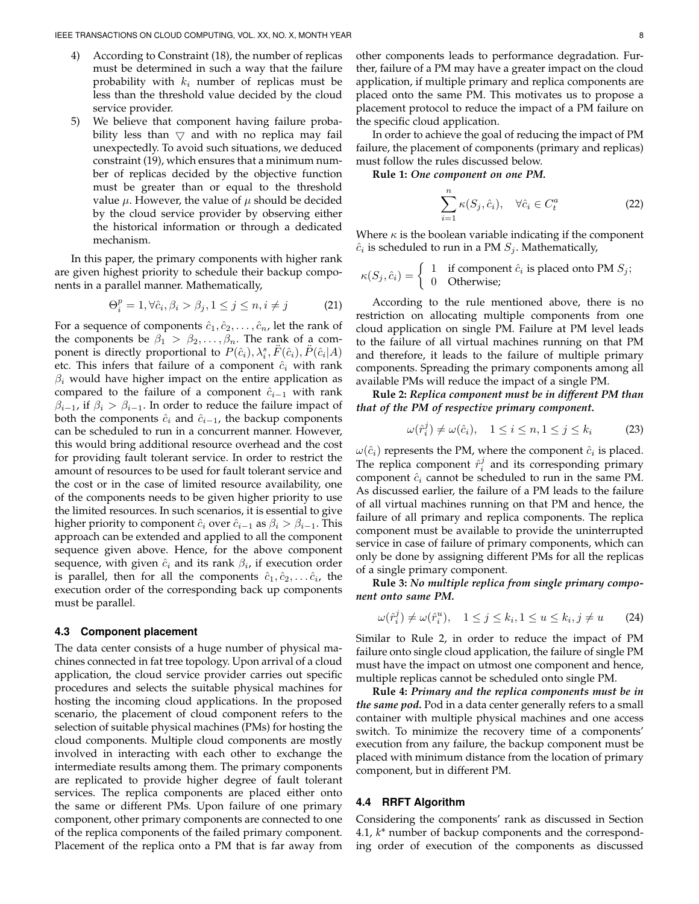- 4) According to Constraint (18), the number of replicas must be determined in such a way that the failure probability with  $k_i$  number of replicas must be less than the threshold value decided by the cloud service provider.
- 5) We believe that component having failure probability less than  $\bigtriangledown$  and with no replica may fail unexpectedly. To avoid such situations, we deduced constraint (19), which ensures that a minimum number of replicas decided by the objective function must be greater than or equal to the threshold value  $\mu$ . However, the value of  $\mu$  should be decided by the cloud service provider by observing either the historical information or through a dedicated mechanism.

In this paper, the primary components with higher rank are given highest priority to schedule their backup components in a parallel manner. Mathematically,

$$
\Theta_i^p = 1, \forall \hat{c}_i, \beta_i > \beta_j, 1 \le j \le n, i \ne j \tag{21}
$$

For a sequence of components  $\hat{c}_1, \hat{c}_2, \ldots, \hat{c}_n$ , let the rank of the components be  $\beta_1 > \beta_2, \ldots, \beta_n$ . The rank of a component is directly proportional to  $P(\hat{c}_i)$ ,  $\lambda_i^s$ ,  $\ddot{F}(\hat{c}_i)$ ,  $\ddot{P}(\hat{c}_i|A)$ etc. This infers that failure of a component  $\hat{c}_i$  with rank  $\beta_i$  would have higher impact on the entire application as compared to the failure of a component  $\hat{c}_{i-1}$  with rank  $\beta_{i-1}$ , if  $\beta_i > \beta_{i-1}$ . In order to reduce the failure impact of both the components  $\hat{c}_i$  and  $\hat{c}_{i-1}$ , the backup components can be scheduled to run in a concurrent manner. However, this would bring additional resource overhead and the cost for providing fault tolerant service. In order to restrict the amount of resources to be used for fault tolerant service and the cost or in the case of limited resource availability, one of the components needs to be given higher priority to use the limited resources. In such scenarios, it is essential to give higher priority to component  $\hat{c}_i$  over  $\hat{c}_{i-1}$  as  $\beta_i > \beta_{i-1}$ . This approach can be extended and applied to all the component sequence given above. Hence, for the above component sequence, with given  $\hat{c}_i$  and its rank  $\beta_i$ , if execution order is parallel, then for all the components  $\hat{c}_1, \hat{c}_2, \ldots \hat{c}_i$ , the execution order of the corresponding back up components must be parallel.

#### **4.3 Component placement**

The data center consists of a huge number of physical machines connected in fat tree topology. Upon arrival of a cloud application, the cloud service provider carries out specific procedures and selects the suitable physical machines for hosting the incoming cloud applications. In the proposed scenario, the placement of cloud component refers to the selection of suitable physical machines (PMs) for hosting the cloud components. Multiple cloud components are mostly involved in interacting with each other to exchange the intermediate results among them. The primary components are replicated to provide higher degree of fault tolerant services. The replica components are placed either onto the same or different PMs. Upon failure of one primary component, other primary components are connected to one of the replica components of the failed primary component. Placement of the replica onto a PM that is far away from

other components leads to performance degradation. Further, failure of a PM may have a greater impact on the cloud application, if multiple primary and replica components are placed onto the same PM. This motivates us to propose a placement protocol to reduce the impact of a PM failure on the specific cloud application.

In order to achieve the goal of reducing the impact of PM failure, the placement of components (primary and replicas) must follow the rules discussed below.

**Rule 1:** *One component on one PM.*

$$
\sum_{i=1}^{n} \kappa(S_j, \hat{c}_i), \quad \forall \hat{c}_i \in C_t^a \tag{22}
$$

Where  $\kappa$  is the boolean variable indicating if the component  $\hat{c}_i$  is scheduled to run in a PM  $S_j$ . Mathematically,

$$
\kappa(S_j, \hat{c}_i) = \begin{cases} 1 & \text{if component } \hat{c}_i \text{ is placed onto PM } S_j; \\ 0 & \text{Otherwise}; \end{cases}
$$

According to the rule mentioned above, there is no restriction on allocating multiple components from one cloud application on single PM. Failure at PM level leads to the failure of all virtual machines running on that PM and therefore, it leads to the failure of multiple primary components. Spreading the primary components among all available PMs will reduce the impact of a single PM.

**Rule 2:** *Replica component must be in different PM than that of the PM of respective primary component.*

$$
\omega(\hat{r}_i^j) \neq \omega(\hat{c}_i), \quad 1 \leq i \leq n, 1 \leq j \leq k_i \tag{23}
$$

 $\omega(\hat{c}_i)$  represents the PM, where the component  $\hat{c}_i$  is placed. The replica component  $\hat{r}_i^j$  and its corresponding primary component  $\hat{c}_i$  cannot be scheduled to run in the same PM. As discussed earlier, the failure of a PM leads to the failure of all virtual machines running on that PM and hence, the failure of all primary and replica components. The replica component must be available to provide the uninterrupted service in case of failure of primary components, which can only be done by assigning different PMs for all the replicas of a single primary component.

**Rule 3:** *No multiple replica from single primary component onto same PM.*

$$
\omega(\hat{r}_i^j) \neq \omega(\hat{r}_i^u), \quad 1 \leq j \leq k_i, 1 \leq u \leq k_i, j \neq u \qquad (24)
$$

Similar to Rule 2, in order to reduce the impact of PM failure onto single cloud application, the failure of single PM must have the impact on utmost one component and hence, multiple replicas cannot be scheduled onto single PM.

**Rule 4:** *Primary and the replica components must be in the same pod.* Pod in a data center generally refers to a small container with multiple physical machines and one access switch. To minimize the recovery time of a components' execution from any failure, the backup component must be placed with minimum distance from the location of primary component, but in different PM.

## **4.4 RRFT Algorithm**

Considering the components' rank as discussed in Section 4.1, *k\** number of backup components and the corresponding order of execution of the components as discussed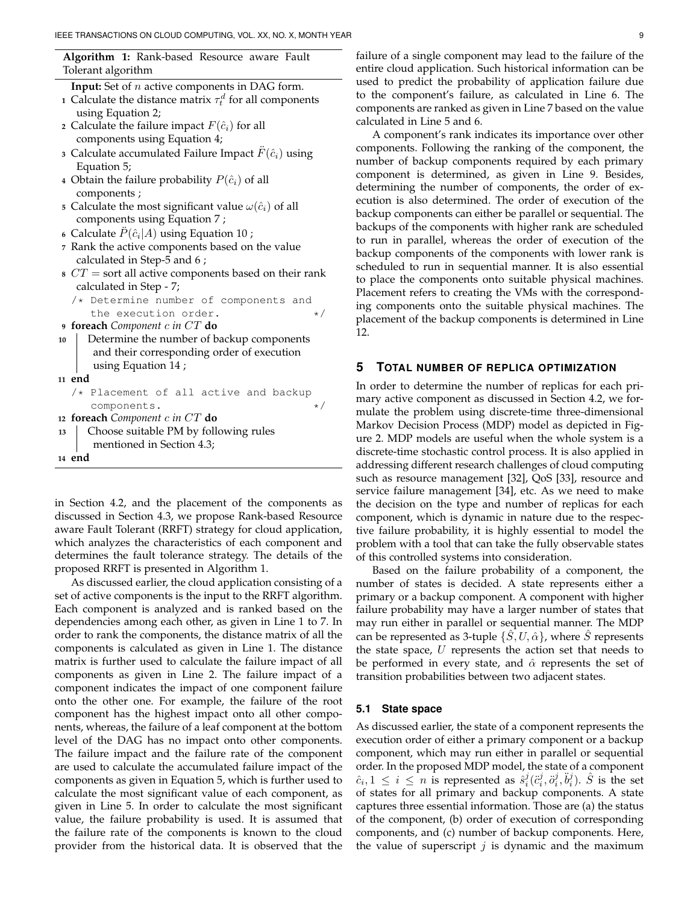**Algorithm 1:** Rank-based Resource aware Fault Tolerant algorithm

| <b>Input:</b> Set of $n$ active components in DAG form. |  |  |  |
|---------------------------------------------------------|--|--|--|
|---------------------------------------------------------|--|--|--|

- **1** Calculate the distance matrix  $\tau_t^d$  for all components using Equation 2;
- **2** Calculate the failure impact  $F(\hat{c}_i)$  for all components using Equation 4;
- **3** Calculate accumulated Failure Impact  $F(\hat{c}_i)$  using Equation 5;
- **4** Obtain the failure probability  $P(\hat{c}_i)$  of all components ;
- **5** Calculate the most significant value  $\omega(\hat{c}_i)$  of all components using Equation 7 ;
- **6** Calculate  $\ddot{P}(\hat{c}_i|A)$  using Equation 10;
- **<sup>7</sup>** Rank the active components based on the value calculated in Step-5 and 6 ;
- **<sup>8</sup>** CT = sort all active components based on their rank calculated in Step - 7;
	- /\* Determine number of components and the execution order.  $\star/$
- **<sup>9</sup> foreach** *Component* c *in* CT **do**
- **<sup>10</sup>** Determine the number of backup components and their corresponding order of execution using Equation 14 ;
- **<sup>11</sup> end**
- /\* Placement of all active and backup components.
- **<sup>12</sup> foreach** *Component* c *in* CT **do**

```
13 Choose suitable PM by following rules
      mentioned in Section 4.3;
14 end
```
in Section 4.2, and the placement of the components as discussed in Section 4.3, we propose Rank-based Resource aware Fault Tolerant (RRFT) strategy for cloud application, which analyzes the characteristics of each component and determines the fault tolerance strategy. The details of the proposed RRFT is presented in Algorithm 1.

As discussed earlier, the cloud application consisting of a set of active components is the input to the RRFT algorithm. Each component is analyzed and is ranked based on the dependencies among each other, as given in Line 1 to 7. In order to rank the components, the distance matrix of all the components is calculated as given in Line 1. The distance matrix is further used to calculate the failure impact of all components as given in Line 2. The failure impact of a component indicates the impact of one component failure onto the other one. For example, the failure of the root component has the highest impact onto all other components, whereas, the failure of a leaf component at the bottom level of the DAG has no impact onto other components. The failure impact and the failure rate of the component are used to calculate the accumulated failure impact of the components as given in Equation 5, which is further used to calculate the most significant value of each component, as given in Line 5. In order to calculate the most significant value, the failure probability is used. It is assumed that the failure rate of the components is known to the cloud provider from the historical data. It is observed that the

failure of a single component may lead to the failure of the entire cloud application. Such historical information can be used to predict the probability of application failure due to the component's failure, as calculated in Line 6. The components are ranked as given in Line 7 based on the value calculated in Line 5 and 6.

A component's rank indicates its importance over other components. Following the ranking of the component, the number of backup components required by each primary component is determined, as given in Line 9. Besides, determining the number of components, the order of execution is also determined. The order of execution of the backup components can either be parallel or sequential. The backups of the components with higher rank are scheduled to run in parallel, whereas the order of execution of the backup components of the components with lower rank is scheduled to run in sequential manner. It is also essential to place the components onto suitable physical machines. Placement refers to creating the VMs with the corresponding components onto the suitable physical machines. The placement of the backup components is determined in Line 12.

## **5 TOTAL NUMBER OF REPLICA OPTIMIZATION**

In order to determine the number of replicas for each primary active component as discussed in Section 4.2, we formulate the problem using discrete-time three-dimensional Markov Decision Process (MDP) model as depicted in Figure 2. MDP models are useful when the whole system is a discrete-time stochastic control process. It is also applied in addressing different research challenges of cloud computing such as resource management [32], QoS [33], resource and service failure management [34], etc. As we need to make the decision on the type and number of replicas for each component, which is dynamic in nature due to the respective failure probability, it is highly essential to model the problem with a tool that can take the fully observable states of this controlled systems into consideration.

Based on the failure probability of a component, the number of states is decided. A state represents either a primary or a backup component. A component with higher failure probability may have a larger number of states that may run either in parallel or sequential manner. The MDP can be represented as 3-tuple  $\{\hat{S}, U, \hat{\alpha}\}\$ , where  $\hat{S}$  represents the state space,  $U$  represents the action set that needs to be performed in every state, and  $\hat{\alpha}$  represents the set of transition probabilities between two adjacent states.

## **5.1 State space**

As discussed earlier, the state of a component represents the execution order of either a primary component or a backup component, which may run either in parallel or sequential order. In the proposed MDP model, the state of a component  $\hat{c}_i, 1 \leq i \leq n$  is represented as  $\hat{s}_i^j(\hat{c}_i^j, \hat{o}_i^j, \hat{b}_i^j)$ .  $\hat{S}$  is the set of states for all primary and backup components. A state captures three essential information. Those are (a) the status of the component, (b) order of execution of corresponding components, and (c) number of backup components. Here, the value of superscript  $j$  is dynamic and the maximum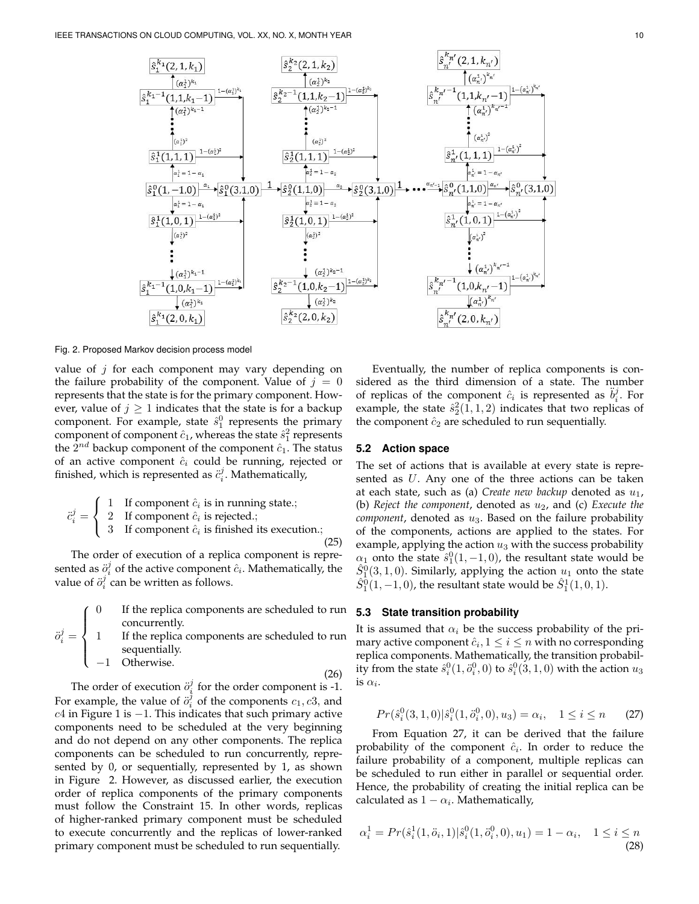

Fig. 2. Proposed Markov decision process model

value of  $j$  for each component may vary depending on the failure probability of the component. Value of  $j = 0$ represents that the state is for the primary component. However, value of  $j \geq 1$  indicates that the state is for a backup component. For example, state  $\hat{s}_1^0$  represents the primary component of component  $\hat{c}_1$ , whereas the state  $\hat{s}_1^2$  represents the  $2^{nd}$  backup component of the component  $\hat{c}_1$ . The status of an active component  $\hat{c}_i$  could be running, rejected or finished, which is represented as  $\ddot{c}_i^j$ . Mathematically,

$$
\ddot{c}_{i}^{j} = \begin{cases}\n1 & \text{If component } \hat{c}_{i} \text{ is in running state.} \\
2 & \text{If component } \hat{c}_{i} \text{ is rejected.}; \\
3 & \text{If component } \hat{c}_{i} \text{ is finished its execution.};\n\end{cases}
$$
\n(25)

The order of execution of a replica component is represented as  $\ddot{o}_i^j$  of the active component  $\hat{c}_i$ . Mathematically, the value of  $\ddot{o}_i^j$  can be written as follows.

 $\sqrt{ }$  $\int$ If the replica components are scheduled to run concurrently.

 $\ddot{o}$ j  $i^j =$  $\overline{\mathcal{L}}$ 1 If the replica components are scheduled to run sequentially.

−1 Otherwise.

(26)

The order of execution  $\ddot{o}_i^j$  for the order component is -1. For example, the value of  $\ddot{o}_i^{\dagger}$  of the components  $c_1, c_3$ , and  $c4$  in Figure 1 is  $-1$ . This indicates that such primary active components need to be scheduled at the very beginning and do not depend on any other components. The replica components can be scheduled to run concurrently, represented by 0, or sequentially, represented by 1, as shown in Figure 2. However, as discussed earlier, the execution order of replica components of the primary components must follow the Constraint 15. In other words, replicas of higher-ranked primary component must be scheduled to execute concurrently and the replicas of lower-ranked primary component must be scheduled to run sequentially.

Eventually, the number of replica components is considered as the third dimension of a state. The number of replicas of the component  $\hat{c}_i$  is represented as  $\ddot{b}_i^j$ . For example, the state  $\hat{s}_2^2(1,1,2)$  indicates that two replicas of the component  $\hat{c}_2$  are scheduled to run sequentially.

## **5.2 Action space**

The set of actions that is available at every state is represented as U. Any one of the three actions can be taken at each state, such as (a) *Create new backup* denoted as  $u_1$ , (b) *Reject the component*, denoted as  $u_2$ , and (c) *Execute the*  $component$ , denoted as  $u_3$ . Based on the failure probability of the components, actions are applied to the states. For example, applying the action  $u_3$  with the success probability  $\alpha_1$  onto the state  $\hat{s}_1^0(1,-1,0)$ , the resultant state would be  $\hat{S}_1^0(3,1,0)$ . Similarly, applying the action  $u_1$  onto the state  $\hat{S}_1^0(1, -1, 0)$ , the resultant state would be  $\hat{S}_1^1(1, 0, 1)$ .

## **5.3 State transition probability**

It is assumed that  $\alpha_i$  be the success probability of the primary active component  $\hat{c}_i, 1 \leq i \leq n$  with no corresponding replica components. Mathematically, the transition probability from the state  $\hat{s}^0_i(1, \ddot{o}^0_i, 0)$  to  $\hat{s}^0_i(3, 1, 0)$  with the action  $u_3$ is  $\alpha_i$ .

$$
Pr(\hat{s}_i^0(3,1,0)|\hat{s}_i^0(1,\ddot{o}_i^0,0),u_3) = \alpha_i, \quad 1 \le i \le n \tag{27}
$$

From Equation 27, it can be derived that the failure probability of the component  $\hat{c}_i$ . In order to reduce the failure probability of a component, multiple replicas can be scheduled to run either in parallel or sequential order. Hence, the probability of creating the initial replica can be calculated as  $1 - \alpha_i$ . Mathematically,

$$
\alpha_i^1 = Pr(\hat{s}_i^1(1, \ddot{o}_i, 1)|\hat{s}_i^0(1, \ddot{o}_i^0, 0), u_1) = 1 - \alpha_i, \quad 1 \le i \le n
$$
\n(28)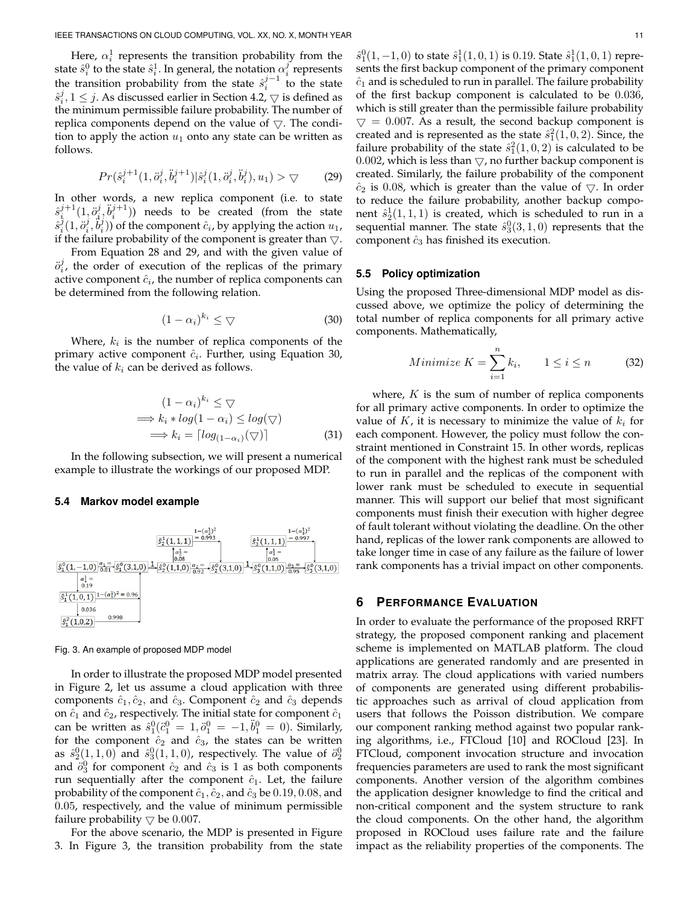Here,  $\alpha_i^1$  represents the transition probability from the state  $\hat{s}_i^0$  to the state  $\hat{s}_i^1$ . In general, the notation  $\alpha_i^j$  represents the transition probability from the state  $\hat{s}_i^{j-1}$  to the state  $\hat{s}_i^j, 1 \leq j$ . As discussed earlier in Section 4.2,  $\bigtriangledown$  is defined as the minimum permissible failure probability. The number of replica components depend on the value of  $\bigtriangledown$ . The condition to apply the action  $u_1$  onto any state can be written as follows.

$$
Pr(\hat{s}_i^{j+1}(1, \ddot{o}_i^j, \ddot{b}_i^{j+1}) | \hat{s}_i^j(1, \ddot{o}_i^j, \ddot{b}_i^j), u_1) > \bigtriangledown
$$
 (29)

In other words, a new replica component (i.e. to state  $\hat{s}_i^{j+1}(1, \ddot{o}_i^j, \ddot{b}_i^{j+1})$  needs to be created (from the state  $\hat{s}_i^j(1,\ddot{o}_i^j,\ddot{b}_i^j))$  of the component  $\hat{c}_i$ , by applying the action  $u_1$ , if the failure probability of the component is greater than  $\bigtriangledown$ .

From Equation 28 and 29, and with the given value of  $\ddot{o}_i^j$ , the order of execution of the replicas of the primary active component  $\hat{c}_i$ , the number of replica components can be determined from the following relation.

$$
(1 - \alpha_i)^{k_i} \leq \bigtriangledown \tag{30}
$$

Where,  $k_i$  is the number of replica components of the primary active component  $\hat{c}_i$ . Further, using Equation 30, the value of  $k_i$  can be derived as follows.

$$
(1 - \alpha_i)^{k_i} \leq \bigtriangledown
$$
  
\n
$$
\implies k_i * log(1 - \alpha_i) \leq log(\bigtriangledown)
$$
  
\n
$$
\implies k_i = \lceil log_{(1 - \alpha_i)}(\bigtriangledown) \rceil
$$
\n(31)

In the following subsection, we will present a numerical example to illustrate the workings of our proposed MDP.

#### **5.4 Markov model example**



#### Fig. 3. An example of proposed MDP model

In order to illustrate the proposed MDP model presented in Figure 2, let us assume a cloud application with three components  $\hat{c}_1, \hat{c}_2$ , and  $\hat{c}_3$ . Component  $\hat{c}_2$  and  $\hat{c}_3$  depends on  $\hat{c}_1$  and  $\hat{c}_2$ , respectively. The initial state for component  $\hat{c}_1$ can be written as  $\hat{s}_1^0(\hat{c}_1^0 = 1, \hat{o}_1^0 = -1, \hat{b}_1^0 = 0)$ . Similarly, for the component  $\hat{c}_2$  and  $\hat{c}_3$ , the states can be written as  $\hat{s}_2^0(1,1,0)$  and  $\hat{s}_3^0(1,1,0)$ , respectively. The value of  $\ddot{o}_2^0$ and  $\ddot{o}_3^0$  for component  $\hat{c}_2$  and  $\hat{c}_3$  is 1 as both components run sequentially after the component  $\hat{c}_1$ . Let, the failure probability of the component  $\hat{c}_1, \hat{c}_2$ , and  $\hat{c}_3$  be  $0.19, 0.08,$  and 0.05, respectively, and the value of minimum permissible failure probability  $\bigtriangledown$  be 0.007.

For the above scenario, the MDP is presented in Figure 3. In Figure 3, the transition probability from the state

 $\hat{s}_1^0(1,-1,0)$  to state  $\hat{s}_1^1(1,0,1)$  is 0.19. State  $\hat{s}_1^1(1,0,1)$  represents the first backup component of the primary component  $\hat{c}_1$  and is scheduled to run in parallel. The failure probability of the first backup component is calculated to be 0.036, which is still greater than the permissible failure probability  $\triangledown = 0.007$ . As a result, the second backup component is created and is represented as the state  $\hat{s}_1^2(1,0,2)$ . Since, the failure probability of the state  $\hat{s}_1^2(1,0,2)$  is calculated to be 0.002, which is less than  $\bigtriangledown$ , no further backup component is created. Similarly, the failure probability of the component  $\hat{c}_2$  is 0.08, which is greater than the value of  $\nabla$ . In order to reduce the failure probability, another backup component  $\hat{s}_2^1(1,1,1)$  is created, which is scheduled to run in a sequential manner. The state  $\hat{s}_3^0(3,1,0)$  represents that the component  $\hat{c}_3$  has finished its execution.

#### **5.5 Policy optimization**

Using the proposed Three-dimensional MDP model as discussed above, we optimize the policy of determining the total number of replica components for all primary active components. Mathematically,

$$
Minimize K = \sum_{i=1}^{n} k_i, \qquad 1 \le i \le n \tag{32}
$$

where,  $K$  is the sum of number of replica components for all primary active components. In order to optimize the value of K, it is necessary to minimize the value of  $k_i$  for each component. However, the policy must follow the constraint mentioned in Constraint 15. In other words, replicas of the component with the highest rank must be scheduled to run in parallel and the replicas of the component with lower rank must be scheduled to execute in sequential manner. This will support our belief that most significant components must finish their execution with higher degree of fault tolerant without violating the deadline. On the other hand, replicas of the lower rank components are allowed to take longer time in case of any failure as the failure of lower rank components has a trivial impact on other components.

## **6 PERFORMANCE EVALUATION**

In order to evaluate the performance of the proposed RRFT strategy, the proposed component ranking and placement scheme is implemented on MATLAB platform. The cloud applications are generated randomly and are presented in matrix array. The cloud applications with varied numbers of components are generated using different probabilistic approaches such as arrival of cloud application from users that follows the Poisson distribution. We compare our component ranking method against two popular ranking algorithms, i.e., FTCloud [10] and ROCloud [23]. In FTCloud, component invocation structure and invocation frequencies parameters are used to rank the most significant components. Another version of the algorithm combines the application designer knowledge to find the critical and non-critical component and the system structure to rank the cloud components. On the other hand, the algorithm proposed in ROCloud uses failure rate and the failure impact as the reliability properties of the components. The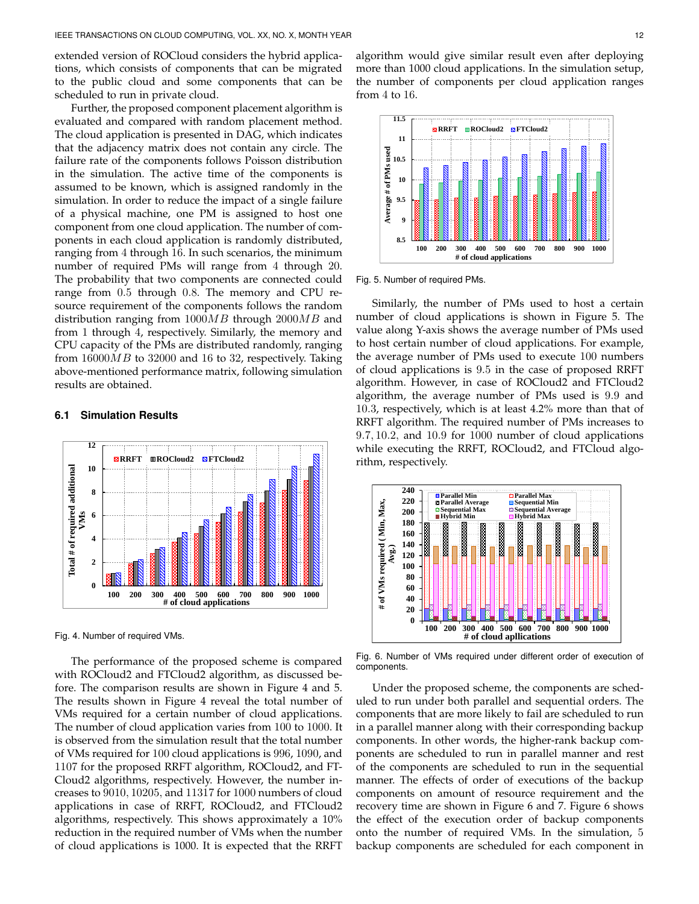extended version of ROCloud considers the hybrid applications, which consists of components that can be migrated to the public cloud and some components that can be scheduled to run in private cloud.

Further, the proposed component placement algorithm is evaluated and compared with random placement method. The cloud application is presented in DAG, which indicates that the adjacency matrix does not contain any circle. The failure rate of the components follows Poisson distribution in the simulation. The active time of the components is assumed to be known, which is assigned randomly in the simulation. In order to reduce the impact of a single failure of a physical machine, one PM is assigned to host one component from one cloud application. The number of components in each cloud application is randomly distributed, ranging from 4 through 16. In such scenarios, the minimum number of required PMs will range from 4 through 20. The probability that two components are connected could range from 0.5 through 0.8. The memory and CPU resource requirement of the components follows the random distribution ranging from  $1000MB$  through  $2000MB$  and from 1 through 4, respectively. Similarly, the memory and CPU capacity of the PMs are distributed randomly, ranging from  $16000MB$  to 32000 and 16 to 32, respectively. Taking above-mentioned performance matrix, following simulation results are obtained.

# **12 RRFT ROCloud2 FTCloud2 Total # of required additional 10** Total # of required additional **8 VMs 6 4 2 0 100 200 300 400 500 600 700 800 900 1000 # of cloud applications**

## **6.1 Simulation Results**

Fig. 4. Number of required VMs.

The performance of the proposed scheme is compared with ROCloud2 and FTCloud2 algorithm, as discussed before. The comparison results are shown in Figure 4 and 5. The results shown in Figure 4 reveal the total number of VMs required for a certain number of cloud applications. The number of cloud application varies from 100 to 1000. It is observed from the simulation result that the total number of VMs required for 100 cloud applications is 996, 1090, and 1107 for the proposed RRFT algorithm, ROCloud2, and FT-Cloud2 algorithms, respectively. However, the number increases to 9010, 10205, and 11317 for 1000 numbers of cloud applications in case of RRFT, ROCloud2, and FTCloud2 algorithms, respectively. This shows approximately a 10% reduction in the required number of VMs when the number of cloud applications is 1000. It is expected that the RRFT

algorithm would give similar result even after deploying more than 1000 cloud applications. In the simulation setup, the number of components per cloud application ranges from 4 to 16.



Fig. 5. Number of required PMs.

Similarly, the number of PMs used to host a certain number of cloud applications is shown in Figure 5. The value along Y-axis shows the average number of PMs used to host certain number of cloud applications. For example, the average number of PMs used to execute 100 numbers of cloud applications is 9.5 in the case of proposed RRFT algorithm. However, in case of ROCloud2 and FTCloud2 algorithm, the average number of PMs used is 9.9 and 10.3, respectively, which is at least 4.2% more than that of RRFT algorithm. The required number of PMs increases to 9.7, 10.2, and 10.9 for 1000 number of cloud applications while executing the RRFT, ROCloud2, and FTCloud algorithm, respectively.



Fig. 6. Number of VMs required under different order of execution of components.

Under the proposed scheme, the components are scheduled to run under both parallel and sequential orders. The components that are more likely to fail are scheduled to run in a parallel manner along with their corresponding backup components. In other words, the higher-rank backup components are scheduled to run in parallel manner and rest of the components are scheduled to run in the sequential manner. The effects of order of executions of the backup components on amount of resource requirement and the recovery time are shown in Figure 6 and 7. Figure 6 shows the effect of the execution order of backup components onto the number of required VMs. In the simulation, 5 backup components are scheduled for each component in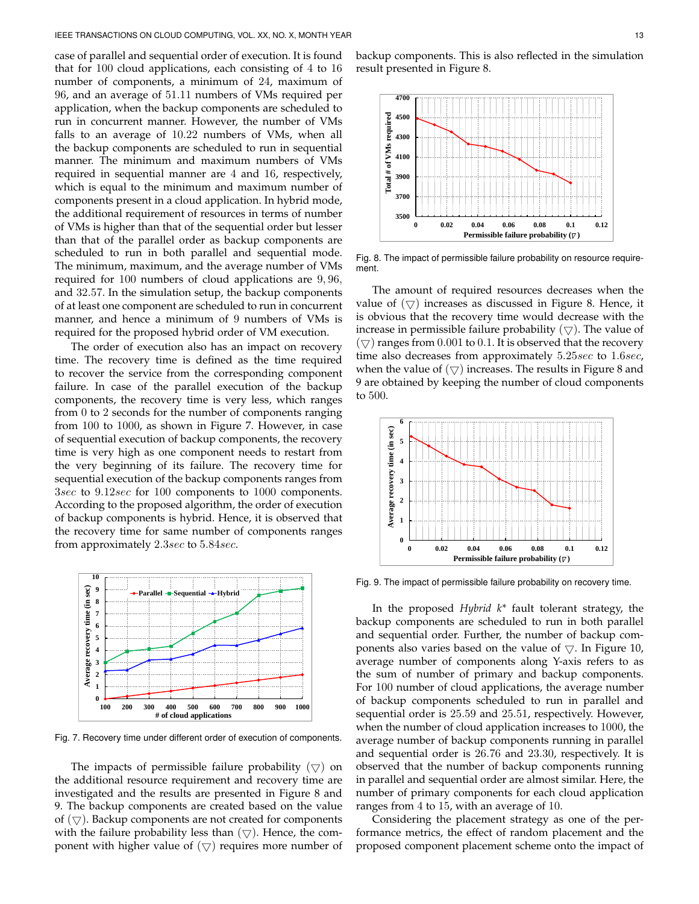case of parallel and sequential order of execution. It is found that for 100 cloud applications, each consisting of 4 to 16 number of components, a minimum of 24, maximum of 96, and an average of 51.11 numbers of VMs required per application, when the backup components are scheduled to run in concurrent manner. However, the number of VMs falls to an average of 10.22 numbers of VMs, when all the backup components are scheduled to run in sequential manner. The minimum and maximum numbers of VMs required in sequential manner are 4 and 16, respectively, which is equal to the minimum and maximum number of components present in a cloud application. In hybrid mode, the additional requirement of resources in terms of number of VMs is higher than that of the sequential order but lesser than that of the parallel order as backup components are scheduled to run in both parallel and sequential mode. The minimum, maximum, and the average number of VMs required for 100 numbers of cloud applications are 9, 96, and 32.57. In the simulation setup, the backup components of at least one component are scheduled to run in concurrent manner, and hence a minimum of 9 numbers of VMs is required for the proposed hybrid order of VM execution.

The order of execution also has an impact on recovery time. The recovery time is defined as the time required to recover the service from the corresponding component failure. In case of the parallel execution of the backup components, the recovery time is very less, which ranges from 0 to 2 seconds for the number of components ranging from 100 to 1000, as shown in Figure 7. However, in case of sequential execution of backup components, the recovery time is very high as one component needs to restart from the very beginning of its failure. The recovery time for sequential execution of the backup components ranges from 3sec to 9.12sec for 100 components to 1000 components. According to the proposed algorithm, the order of execution of backup components is hybrid. Hence, it is observed that the recovery time for same number of components ranges from approximately 2.3sec to 5.84sec.



Fig. 7. Recovery time under different order of execution of components.

The impacts of permissible failure probability  $(\nabla)$  on the additional resource requirement and recovery time are investigated and the results are presented in Figure 8 and 9. The backup components are created based on the value of  $(\nabla)$ . Backup components are not created for components with the failure probability less than  $(\nabla)$ . Hence, the component with higher value of  $(\nabla)$  requires more number of

backup components. This is also reflected in the simulation result presented in Figure 8.



Fig. 8. The impact of permissible failure probability on resource requirement.

The amount of required resources decreases when the value of  $(\nabla)$  increases as discussed in Figure 8. Hence, it is obvious that the recovery time would decrease with the increase in permissible failure probability  $(\nabla)$ . The value of  $(\nabla)$  ranges from 0.001 to 0.1. It is observed that the recovery time also decreases from approximately  $5.25sec$  to  $1.6sec$ , when the value of  $(\nabla)$  increases. The results in Figure 8 and 9 are obtained by keeping the number of cloud components to 500.



Fig. 9. The impact of permissible failure probability on recovery time.

In the proposed *Hybrid k\** fault tolerant strategy, the backup components are scheduled to run in both parallel and sequential order. Further, the number of backup components also varies based on the value of  $\bigtriangledown$ . In Figure 10, average number of components along Y-axis refers to as the sum of number of primary and backup components. For 100 number of cloud applications, the average number of backup components scheduled to run in parallel and sequential order is 25.59 and 25.51, respectively. However, when the number of cloud application increases to 1000, the average number of backup components running in parallel and sequential order is 26.76 and 23.30, respectively. It is observed that the number of backup components running in parallel and sequential order are almost similar. Here, the number of primary components for each cloud application ranges from 4 to 15, with an average of 10.

Considering the placement strategy as one of the performance metrics, the effect of random placement and the proposed component placement scheme onto the impact of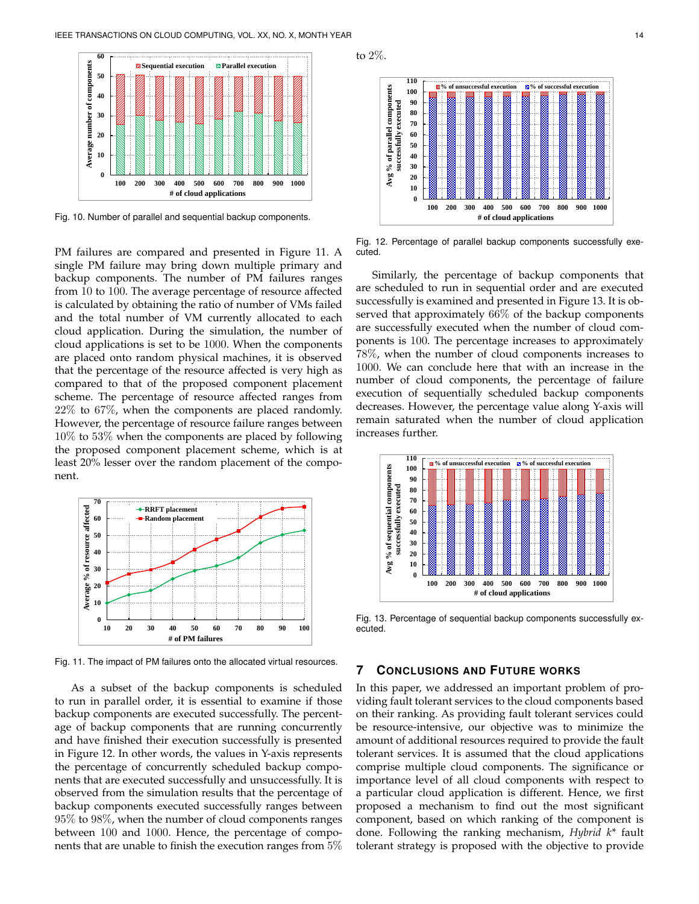

Fig. 10. Number of parallel and sequential backup components.

PM failures are compared and presented in Figure 11. A single PM failure may bring down multiple primary and backup components. The number of PM failures ranges from 10 to 100. The average percentage of resource affected is calculated by obtaining the ratio of number of VMs failed and the total number of VM currently allocated to each cloud application. During the simulation, the number of cloud applications is set to be 1000. When the components are placed onto random physical machines, it is observed that the percentage of the resource affected is very high as compared to that of the proposed component placement scheme. The percentage of resource affected ranges from 22% to 67%, when the components are placed randomly. However, the percentage of resource failure ranges between 10% to 53% when the components are placed by following the proposed component placement scheme, which is at least 20% lesser over the random placement of the component.



Fig. 11. The impact of PM failures onto the allocated virtual resources.

As a subset of the backup components is scheduled to run in parallel order, it is essential to examine if those backup components are executed successfully. The percentage of backup components that are running concurrently and have finished their execution successfully is presented in Figure 12. In other words, the values in Y-axis represents the percentage of concurrently scheduled backup components that are executed successfully and unsuccessfully. It is observed from the simulation results that the percentage of backup components executed successfully ranges between 95% to 98%, when the number of cloud components ranges between 100 and 1000. Hence, the percentage of components that are unable to finish the execution ranges from 5%



Fig. 12. Percentage of parallel backup components successfully executed.

Similarly, the percentage of backup components that are scheduled to run in sequential order and are executed successfully is examined and presented in Figure 13. It is observed that approximately 66% of the backup components are successfully executed when the number of cloud components is 100. The percentage increases to approximately 78%, when the number of cloud components increases to 1000. We can conclude here that with an increase in the number of cloud components, the percentage of failure execution of sequentially scheduled backup components decreases. However, the percentage value along Y-axis will remain saturated when the number of cloud application increases further.



Fig. 13. Percentage of sequential backup components successfully executed.

## **7 CONCLUSIONS AND FUTURE WORKS**

In this paper, we addressed an important problem of providing fault tolerant services to the cloud components based on their ranking. As providing fault tolerant services could be resource-intensive, our objective was to minimize the amount of additional resources required to provide the fault tolerant services. It is assumed that the cloud applications comprise multiple cloud components. The significance or importance level of all cloud components with respect to a particular cloud application is different. Hence, we first proposed a mechanism to find out the most significant component, based on which ranking of the component is done. Following the ranking mechanism, *Hybrid k\** fault tolerant strategy is proposed with the objective to provide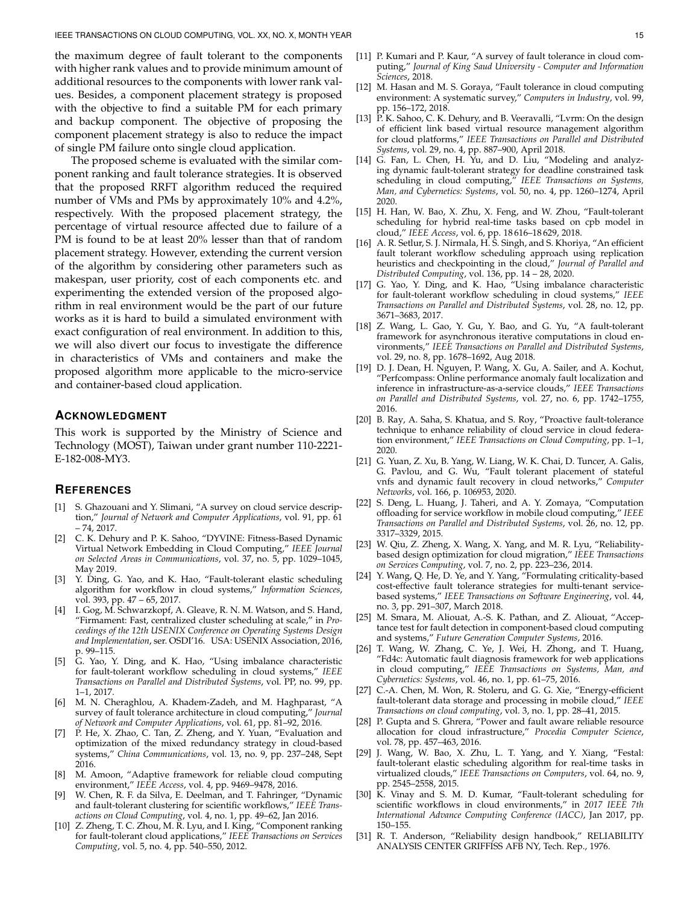the maximum degree of fault tolerant to the components with higher rank values and to provide minimum amount of additional resources to the components with lower rank values. Besides, a component placement strategy is proposed with the objective to find a suitable PM for each primary and backup component. The objective of proposing the component placement strategy is also to reduce the impact of single PM failure onto single cloud application.

The proposed scheme is evaluated with the similar component ranking and fault tolerance strategies. It is observed that the proposed RRFT algorithm reduced the required number of VMs and PMs by approximately 10% and 4.2%, respectively. With the proposed placement strategy, the percentage of virtual resource affected due to failure of a PM is found to be at least 20% lesser than that of random placement strategy. However, extending the current version of the algorithm by considering other parameters such as makespan, user priority, cost of each components etc. and experimenting the extended version of the proposed algorithm in real environment would be the part of our future works as it is hard to build a simulated environment with exact configuration of real environment. In addition to this, we will also divert our focus to investigate the difference in characteristics of VMs and containers and make the proposed algorithm more applicable to the micro-service and container-based cloud application.

## **ACKNOWLEDGMENT**

This work is supported by the Ministry of Science and Technology (MOST), Taiwan under grant number 110-2221- E-182-008-MY3.

## **REFERENCES**

- [1] S. Ghazouani and Y. Slimani, "A survey on cloud service description," *Journal of Network and Computer Applications*, vol. 91, pp. 61 – 74, 2017.
- [2] C. K. Dehury and P. K. Sahoo, "DYVINE: Fitness-Based Dynamic Virtual Network Embedding in Cloud Computing," *IEEE Journal on Selected Areas in Communications*, vol. 37, no. 5, pp. 1029–1045, May 2019.
- [3] Y. Ding, G. Yao, and K. Hao, "Fault-tolerant elastic scheduling algorithm for workflow in cloud systems," *Information Sciences*, vol. 393, pp. 47 – 65, 2017.
- I. Gog, M. Schwarzkopf, A. Gleave, R. N. M. Watson, and S. Hand, "Firmament: Fast, centralized cluster scheduling at scale," in *Proceedings of the 12th USENIX Conference on Operating Systems Design and Implementation*, ser. OSDI'16. USA: USENIX Association, 2016, p. 99–115.
- [5] G. Yao, Y. Ding, and K. Hao, "Using imbalance characteristic for fault-tolerant workflow scheduling in cloud systems," *IEEE Transactions on Parallel and Distributed Systems*, vol. PP, no. 99, pp. 1–1, 2017.
- [6] M. N. Cheraghlou, A. Khadem-Zadeh, and M. Haghparast, "A survey of fault tolerance architecture in cloud computing," *Journal of Network and Computer Applications*, vol. 61, pp. 81–92, 2016.
- [7] P. He, X. Zhao, C. Tan, Z. Zheng, and Y. Yuan, "Evaluation and optimization of the mixed redundancy strategy in cloud-based systems," *China Communications*, vol. 13, no. 9, pp. 237–248, Sept 2016.
- [8] M. Amoon, "Adaptive framework for reliable cloud computing environment," *IEEE Access*, vol. 4, pp. 9469–9478, 2016.
- W. Chen, R. F. da Silva, E. Deelman, and T. Fahringer, "Dynamic and fault-tolerant clustering for scientific workflows," *IEEE Transactions on Cloud Computing*, vol. 4, no. 1, pp. 49–62, Jan 2016.
- [10] Z. Zheng, T. C. Zhou, M. R. Lyu, and I. King, "Component ranking for fault-tolerant cloud applications," *IEEE Transactions on Services Computing*, vol. 5, no. 4, pp. 540–550, 2012.
- [11] P. Kumari and P. Kaur, "A survey of fault tolerance in cloud computing," *Journal of King Saud University - Computer and Information Sciences*, 2018.
- [12] M. Hasan and M. S. Goraya, "Fault tolerance in cloud computing environment: A systematic survey," *Computers in Industry*, vol. 99, pp. 156–172, 2018.
- [13] P. K. Sahoo, C. K. Dehury, and B. Veeravalli, "Lvrm: On the design of efficient link based virtual resource management algorithm for cloud platforms," *IEEE Transactions on Parallel and Distributed Systems*, vol. 29, no. 4, pp. 887–900, April 2018.
- [14] G. Fan, L. Chen, H. Yu, and D. Liu, "Modeling and analyzing dynamic fault-tolerant strategy for deadline constrained task scheduling in cloud computing," *IEEE Transactions on Systems, Man, and Cybernetics: Systems*, vol. 50, no. 4, pp. 1260–1274, April 2020.
- [15] H. Han, W. Bao, X. Zhu, X. Feng, and W. Zhou, "Fault-tolerant scheduling for hybrid real-time tasks based on cpb model in cloud," *IEEE Access*, vol. 6, pp. 18 616–18 629, 2018.
- [16] A. R. Setlur, S. J. Nirmala, H. S. Singh, and S. Khoriya, "An efficient fault tolerant workflow scheduling approach using replication heuristics and checkpointing in the cloud," *Journal of Parallel and Distributed Computing*, vol. 136, pp. 14 – 28, 2020.
- [17] G. Yao, Y. Ding, and K. Hao, "Using imbalance characteristic for fault-tolerant workflow scheduling in cloud systems," *IEEE Transactions on Parallel and Distributed Systems*, vol. 28, no. 12, pp. 3671–3683, 2017.
- [18] Z. Wang, L. Gao, Y. Gu, Y. Bao, and G. Yu, "A fault-tolerant framework for asynchronous iterative computations in cloud environments," *IEEE Transactions on Parallel and Distributed Systems*, vol. 29, no. 8, pp. 1678–1692, Aug 2018.
- [19] D. J. Dean, H. Nguyen, P. Wang, X. Gu, A. Sailer, and A. Kochut, "Perfcompass: Online performance anomaly fault localization and inference in infrastructure-as-a-service clouds," *IEEE Transactions on Parallel and Distributed Systems*, vol. 27, no. 6, pp. 1742–1755, 2016.
- [20] B. Ray, A. Saha, S. Khatua, and S. Roy, "Proactive fault-tolerance technique to enhance reliability of cloud service in cloud federation environment," *IEEE Transactions on Cloud Computing*, pp. 1–1, 2020.
- [21] G. Yuan, Z. Xu, B. Yang, W. Liang, W. K. Chai, D. Tuncer, A. Galis, G. Pavlou, and G. Wu, "Fault tolerant placement of stateful vnfs and dynamic fault recovery in cloud networks," *Computer Networks*, vol. 166, p. 106953, 2020.
- [22] S. Deng, L. Huang, J. Taheri, and A. Y. Zomaya, "Computation offloading for service workflow in mobile cloud computing," *IEEE Transactions on Parallel and Distributed Systems*, vol. 26, no. 12, pp. 3317–3329, 2015.
- [23] W. Qiu, Z. Zheng, X. Wang, X. Yang, and M. R. Lyu, "Reliabilitybased design optimization for cloud migration," *IEEE Transactions on Services Computing*, vol. 7, no. 2, pp. 223–236, 2014.
- [24] Y. Wang, Q. He, D. Ye, and Y. Yang, "Formulating criticality-based cost-effective fault tolerance strategies for multi-tenant servicebased systems," *IEEE Transactions on Software Engineering*, vol. 44, no. 3, pp. 291–307, March 2018.
- [25] M. Smara, M. Aliouat, A.-S. K. Pathan, and Z. Aliouat, "Acceptance test for fault detection in component-based cloud computing and systems," *Future Generation Computer Systems*, 2016.
- [26] T. Wang, W. Zhang, C. Ye, J. Wei, H. Zhong, and T. Huang, "Fd4c: Automatic fault diagnosis framework for web applications in cloud computing," *IEEE Transactions on Systems, Man, and Cybernetics: Systems*, vol. 46, no. 1, pp. 61–75, 2016.
- [27] C.-A. Chen, M. Won, R. Stoleru, and G. G. Xie, "Energy-efficient fault-tolerant data storage and processing in mobile cloud," *IEEE Transactions on cloud computing*, vol. 3, no. 1, pp. 28–41, 2015.
- [28] P. Gupta and S. Ghrera, "Power and fault aware reliable resource allocation for cloud infrastructure," *Procedia Computer Science*, vol. 78, pp. 457–463, 2016.
- [29] J. Wang, W. Bao, X. Zhu, L. T. Yang, and Y. Xiang, "Festal: fault-tolerant elastic scheduling algorithm for real-time tasks in virtualized clouds," *IEEE Transactions on Computers*, vol. 64, no. 9, pp. 2545–2558, 2015.
- [30] K. Vinay and S. M. D. Kumar, "Fault-tolerant scheduling for scientific workflows in cloud environments," in *2017 IEEE 7th International Advance Computing Conference (IACC)*, Jan 2017, pp. 150–155.
- [31] R. T. Anderson, "Reliability design handbook," RELIABILITY ANALYSIS CENTER GRIFFISS AFB NY, Tech. Rep., 1976.